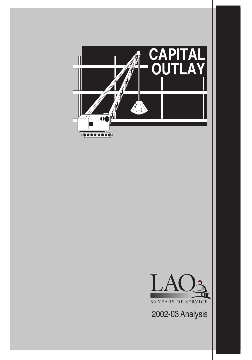



2002-03 Analysis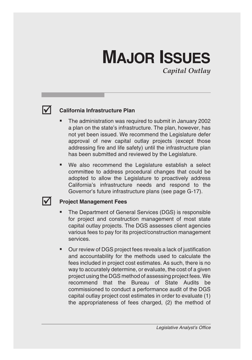# **MAJOR ISSUES** *Capital Outlay*

## **California Infrastructure Plan**

- The administration was required to submit in January 2002 a plan on the state's infrastructure. The plan, however, has not yet been issued. We recommend the Legislature defer approval of new capital outlay projects (except those addressing fire and life safety) until the infrastructure plan has been submitted and reviewed by the Legislature.
- We also recommend the Legislature establish a select committee to address procedural changes that could be adopted to allow the Legislature to proactively address California's infrastructure needs and respond to the Governor's future infrastructure plans (see page G-17).



### **Project Management Fees**

- The Department of General Services (DGS) is responsible for project and construction management of most state capital outlay projects. The DGS assesses client agencies various fees to pay for its project/construction management services.
- Our review of DGS project fees reveals a lack of justification and accountability for the methods used to calculate the fees included in project cost estimates. As such, there is no way to accurately determine, or evaluate, the cost of a given project using the DGS method of assessing project fees. We recommend that the Bureau of State Audits be commissioned to conduct a performance audit of the DGS capital outlay project cost estimates in order to evaluate (1) the appropriateness of fees charged, (2) the method of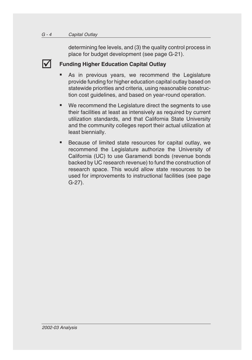### G - 4 Capital Outlay

determining fee levels, and (3) the quality control process in place for budget development (see page G-21).



### **Funding Higher Education Capital Outlay**

- As in previous years, we recommend the Legislature provide funding for higher education capital outlay based on statewide priorities and criteria, using reasonable construction cost guidelines, and based on year-round operation.
- We recommend the Legislature direct the segments to use their facilities at least as intensively as required by current utilization standards, and that California State University and the community colleges report their actual utilization at least biennially.
- Because of limited state resources for capital outlay, we recommend the Legislature authorize the University of California (UC) to use Garamendi bonds (revenue bonds backed by UC research revenue) to fund the construction of research space. This would allow state resources to be used for improvements to instructional facilities (see page G-27).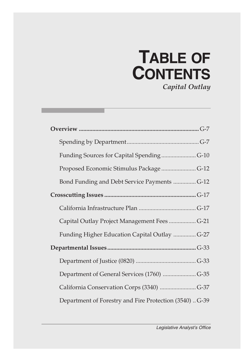# **TABLE OF CONTENTS** *Capital Outlay*

| Bond Funding and Debt Service Payments  G-12            |  |
|---------------------------------------------------------|--|
|                                                         |  |
|                                                         |  |
| Capital Outlay Project Management Fees  G-21            |  |
| Funding Higher Education Capital Outlay  G-27           |  |
|                                                         |  |
|                                                         |  |
|                                                         |  |
|                                                         |  |
| Department of Forestry and Fire Protection (3540)  G-39 |  |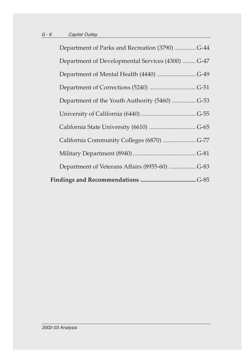### G - 6 Capital Outlay

| Department of Parks and Recreation (3790)  G-44   |  |
|---------------------------------------------------|--|
| Department of Developmental Services (4300)  G-47 |  |
|                                                   |  |
|                                                   |  |
|                                                   |  |
|                                                   |  |
|                                                   |  |
|                                                   |  |
|                                                   |  |
|                                                   |  |
|                                                   |  |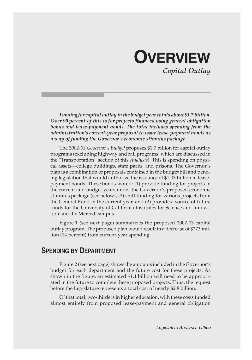# **OVERVIEW** *Capital Outlay*

*Funding for capital outlay in the budget year totals about \$1.7 billion. Over 90 percent of this is for projects financed using general obligation bonds and lease-payment bonds. The total includes spending from the administration's current-year proposal to issue lease-payment bonds as a way of funding the Governor's economic stimulus package.*

The *2002-03 Governor's Budget* proposes \$1.7 billion for capital outlay programs (excluding highway and rail programs, which are discussed in the "Transportation" section of this *Analysis*). This is spending on physical assets—college buildings, state parks, and prisons. The Governor's plan is a combination of proposals contained in the budget bill and pending legislation that would authorize the issuance of \$1.03 billion in leasepayment bonds. These bonds would: (1) provide funding for projects in the current and budget years under the Governor's proposed economic stimulus package (see below), (2) shift funding for various projects from the General Fund in the current year, and (3) provide a source of future funds for the University of California Institutes for Science and Innovation and the Merced campus.

Figure 1 (see next page) summarizes the proposed 2002-03 capital outlay program. The proposed plan would result in a decrease of \$273 million (14 percent) from current-year spending.

## **SPENDING BY DEPARTMENT**

Figure 2 (see next page) shows the amounts included in the Governor's budget for each department and the future cost for these projects. As shown in the figure, an estimated \$1.1 billion will need to be appropriated in the future to complete these proposed projects. Thus, the request before the Legislature represents a total cost of nearly \$2.8 billion.

Of that total, two-thirds is in higher education, with these costs funded almost entirely from proposed lease-payment and general obligation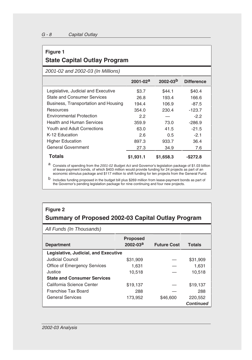## **Figure 1 State Capital Outlay Program**

#### 2001-02 and 2002-03 (In Millions)

|                                      | $2001 - 02a$ | 2002-03 <sup>b</sup> | <b>Difference</b> |
|--------------------------------------|--------------|----------------------|-------------------|
| Legislative, Judicial and Executive  | \$3.7        | \$44.1               | \$40.4            |
| <b>State and Consumer Services</b>   | 26.8         | 193.4                | 166.6             |
| Business, Transportation and Housing | 194.4        | 106.9                | $-87.5$           |
| Resources                            | 354.0        | 230.4                | $-123.7$          |
| <b>Environmental Protection</b>      | 2.2          |                      | $-2.2$            |
| <b>Health and Human Services</b>     | 359.9        | 73.0                 | $-286.9$          |
| Youth and Adult Corrections          | 63.0         | 41.5                 | $-21.5$           |
| K-12 Education                       | 2.6          | 0.5                  | $-2.1$            |
| <b>Higher Education</b>              | 897.3        | 933.7                | 36.4              |
| General Government                   | 27.3         | 34.9                 | 7.6               |
| <b>Totals</b>                        | \$1,931.1    | \$1,658.3            | -\$272.8          |

a Consists of spending from the 2001-02 Budget Act and Governor's legislation package of \$1.03 billion of lease-payment bonds, of which \$403 million would provide funding for 24 projects as part of an economic stimulus package and \$117 million to shift funding for ten projects from the General Fund.

b Includes funding proposed in the budget bill plus \$269 million from lease-payment bonds as part of the Governor's pending legislation package for nine continuing and four new projects.

## **Figure 2 Summary of Proposed 2002-03 Capital Outlay Program**

All Funds (In Thousands)

| <b>Department</b>                           | <b>Proposed</b><br>$2002 - 03a$ | <b>Future Cost</b> | <b>Totals</b>    |
|---------------------------------------------|---------------------------------|--------------------|------------------|
| <b>Legislative, Judicial, and Executive</b> |                                 |                    |                  |
| Judicial Council                            | \$31,909                        |                    | \$31,909         |
| Office of Emergency Services                | 1,631                           |                    | 1,631            |
| Justice                                     | 10.518                          |                    | 10.518           |
| <b>State and Consumer Services</b>          |                                 |                    |                  |
| California Science Center                   | \$19,137                        |                    | \$19,137         |
| Franchise Tax Board                         | 288                             |                    | 288              |
| <b>General Services</b>                     | 173,952                         | \$46,600           | 220,552          |
|                                             |                                 |                    | <b>Continued</b> |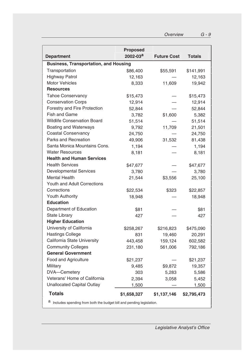|                                                                      | <b>Proposed</b>      |                    |               |  |  |
|----------------------------------------------------------------------|----------------------|--------------------|---------------|--|--|
| <b>Department</b>                                                    | 2002-03 <sup>a</sup> | <b>Future Cost</b> | <b>Totals</b> |  |  |
| <b>Business, Transportation, and Housing</b>                         |                      |                    |               |  |  |
| Transportation                                                       | \$86,400             | \$55,591           | \$141,991     |  |  |
| <b>Highway Patrol</b>                                                | 12,163               |                    | 12,163        |  |  |
| <b>Motor Vehicles</b>                                                | 8,333                | 11,609             | 19,942        |  |  |
| <b>Resources</b>                                                     |                      |                    |               |  |  |
| <b>Tahoe Conservancy</b>                                             | \$15,473             |                    | \$15,473      |  |  |
| <b>Conservation Corps</b>                                            | 12,914               |                    | 12,914        |  |  |
| Forestry and Fire Protection                                         | 52,844               |                    | 52,844        |  |  |
| Fish and Game                                                        | 3,782                | \$1,600            | 5,382         |  |  |
| Wildlife Conservation Board                                          | 51,514               |                    | 51,514        |  |  |
| <b>Boating and Waterways</b>                                         | 9,792                | 11,709             | 21,501        |  |  |
| <b>Coastal Conservancy</b>                                           | 24,750               |                    | 24,750        |  |  |
| Parks and Recreation                                                 | 49,906               | 31,532             | 81,438        |  |  |
| Santa Monica Mountains Cons.                                         | 1,194                |                    | 1,194         |  |  |
| <b>Water Resources</b>                                               | 8,181                |                    | 8,181         |  |  |
| <b>Health and Human Services</b>                                     |                      |                    |               |  |  |
| <b>Health Services</b>                                               | \$47,677             |                    | \$47,677      |  |  |
| <b>Developmental Services</b>                                        | 3,780                |                    | 3,780         |  |  |
| <b>Mental Health</b>                                                 | 21,544               | \$3,556            | 25,100        |  |  |
| Youth and Adult Corrections                                          |                      |                    |               |  |  |
| Corrections                                                          | \$22,534             | \$323              | \$22,857      |  |  |
| Youth Authority                                                      | 18,948               |                    | 18,948        |  |  |
| <b>Education</b>                                                     |                      |                    |               |  |  |
| Department of Education                                              | \$81                 |                    | \$81          |  |  |
| <b>State Library</b>                                                 | 427                  |                    | 427           |  |  |
| <b>Higher Education</b>                                              |                      |                    |               |  |  |
| University of California                                             | \$258,267            | \$216,823          | \$475,090     |  |  |
| <b>Hastings College</b>                                              | 831                  | 19,460             | 20,291        |  |  |
| California State University                                          | 443,458              | 159,124            | 602,582       |  |  |
| <b>Community Colleges</b>                                            | 231,180              | 561,006            | 792,186       |  |  |
| <b>General Government</b>                                            |                      |                    |               |  |  |
| Food and Agriculture                                                 | \$21,237             |                    | \$21,237      |  |  |
| Military                                                             | 9,485                | \$9,872            | 19,357        |  |  |
| DVA-Cemetery                                                         | 303                  | 5,283              | 5,586         |  |  |
| Veterans' Home of California                                         | 2,394                | 3,058              | 5,452         |  |  |
| <b>Unallocated Capital Outlay</b>                                    | 1,500                |                    | 1,500         |  |  |
| <b>Totals</b>                                                        | \$1,658,327          | \$1,137,146        | \$2,795,473   |  |  |
| Includes spending from both the budget bill and pending legislation. |                      |                    |               |  |  |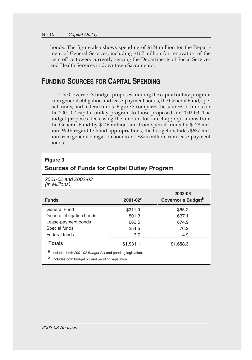bonds. The figure also shows spending of \$174 million for the Department of General Services, including \$107 million for renovation of the twin office towers currently serving the Departments of Social Services and Health Services in downtown Sacramento.

## **FUNDING SOURCES FOR CAPITAL SPENDING**

The Governor's budget proposes funding the capital outlay program from general obligation and lease-payment bonds, the General Fund, special funds, and federal funds. Figure 3 compares the sources of funds for the 2001-02 capital outlay program to those proposed for 2002-03. The budget proposes decreasing the amount for direct appropriations from the General Fund by \$146 million and from special funds by \$178 million. With regard to bond appropriations, the budget includes \$637 million from general obligation bonds and \$875 million from lease-payment bonds.

| Figure 3<br><b>Sources of Funds for Capital Outlay Program</b>                                                            |              |                                           |  |  |
|---------------------------------------------------------------------------------------------------------------------------|--------------|-------------------------------------------|--|--|
| 2001-02 and 2002-03<br>(In Millions)                                                                                      |              |                                           |  |  |
| <b>Funds</b>                                                                                                              | $2001 - 02a$ | 2002-03<br>Governor's Budget <sup>b</sup> |  |  |
| General Fund                                                                                                              | \$211.0      | \$65.2                                    |  |  |
| General obligation bonds                                                                                                  | 801.3        | 637.1                                     |  |  |
| Lease-payment bonds                                                                                                       | 660.5        | 874.9                                     |  |  |
| Special funds                                                                                                             | 254.5        | 76.2                                      |  |  |
| Federal funds                                                                                                             | 3.7          | 4.9                                       |  |  |
| Totals                                                                                                                    | \$1,931.1    | \$1,658.3                                 |  |  |
| а<br>Includes both 2001-02 Budget Act and pending legislation.<br>b<br>Includes both budget bill and pending legislation. |              |                                           |  |  |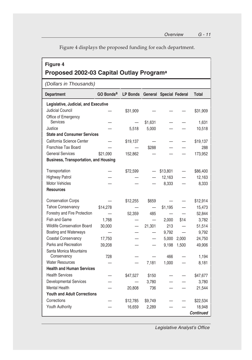Figure 4 displays the proposed funding for each department.

## **Figure 4 Proposed 2002-03 Capital Outlay Programa**

(Dollars in Thousands)

| (Dollars in Thousands)                       |                       |                 |                          |                        |       |                  |  |
|----------------------------------------------|-----------------------|-----------------|--------------------------|------------------------|-------|------------------|--|
| <b>Department</b>                            | GO Bonds <sup>a</sup> | <b>LP Bonds</b> | General                  | <b>Special Federal</b> |       | <b>Total</b>     |  |
| Legislative, Judicial, and Executive         |                       |                 |                          |                        |       |                  |  |
| <b>Judicial Council</b>                      |                       | \$31,909        |                          |                        |       | \$31,909         |  |
| Office of Emergency                          |                       |                 |                          |                        |       |                  |  |
| Services                                     |                       | —               | \$1,631                  |                        |       | 1,631            |  |
| Justice                                      |                       | 5,518           | 5,000                    |                        |       | 10,518           |  |
| <b>State and Consumer Services</b>           |                       |                 |                          |                        |       |                  |  |
| California Science Center                    |                       | \$19,137        |                          |                        |       | \$19,137         |  |
| Franchise Tax Board                          |                       |                 | \$288                    |                        |       | 288              |  |
| <b>General Services</b>                      | \$21,090              | 152,862         |                          |                        |       | 173,952          |  |
| <b>Business, Transportation, and Housing</b> |                       |                 |                          |                        |       |                  |  |
| Transportation                               |                       | \$72,599        |                          | \$13,801               |       | \$86,400         |  |
| <b>Highway Patrol</b>                        |                       |                 |                          | 12,163                 |       | 12,163           |  |
| <b>Motor Vehicles</b>                        |                       |                 |                          | 8,333                  |       | 8,333            |  |
| <b>Resources</b>                             |                       |                 |                          |                        |       |                  |  |
| <b>Conservation Corps</b>                    |                       | \$12,255        | \$659                    |                        |       | \$12,914         |  |
| <b>Tahoe Conservancy</b>                     | \$14,278              |                 | $\overline{\phantom{0}}$ | \$1,195                |       | 15,473           |  |
| Forestry and Fire Protection                 |                       | 52,359          | 485                      |                        |       | 52,844           |  |
| Fish and Game                                | 1,768                 |                 |                          | 2,000                  | \$14  | 3,782            |  |
| Wildlife Conservation Board                  | 30,000                |                 | 21,301                   | 213                    |       | 51,514           |  |
| Boating and Waterways                        |                       |                 |                          | 9,792                  |       | 9,792            |  |
| Coastal Conservancy                          | 17,750                |                 |                          | 5,000                  | 2,000 | 24,750           |  |
| Parks and Recreation                         | 39,208                |                 |                          | 9,198                  | 1,500 | 49,906           |  |
| Santa Monica Mountains                       |                       |                 |                          |                        |       |                  |  |
| Conservancy                                  | 728                   |                 |                          | 466                    |       | 1,194            |  |
| <b>Water Resources</b>                       |                       |                 | 7,181                    | 1,000                  |       | 8,181            |  |
| <b>Health and Human Services</b>             |                       |                 |                          |                        |       |                  |  |
| <b>Health Services</b>                       |                       | \$47,527        | \$150                    |                        |       | \$47,677         |  |
| <b>Developmental Services</b>                |                       |                 | 3,780                    |                        |       | 3,780            |  |
| <b>Mental Health</b>                         |                       | 20,808          | 736                      |                        |       | 21,544           |  |
| <b>Youth and Adult Corrections</b>           |                       |                 |                          |                        |       |                  |  |
| Corrections                                  |                       | \$12,785        | \$9,749                  |                        |       | \$22,534         |  |
| Youth Authority                              |                       | 16,659          | 2,289                    |                        |       | 18,948           |  |
|                                              |                       |                 |                          |                        |       | <b>Continued</b> |  |

Legislative Analyst's Office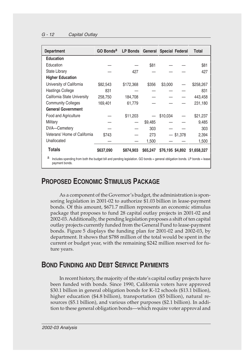| <b>Department</b>                                                                                                                                 | GO Bonds <sup>a</sup> | <b>LP Bonds</b> |          | <b>General Special Federal</b> | Total       |
|---------------------------------------------------------------------------------------------------------------------------------------------------|-----------------------|-----------------|----------|--------------------------------|-------------|
| <b>Education</b>                                                                                                                                  |                       |                 |          |                                |             |
| Education                                                                                                                                         |                       |                 | \$81     |                                | \$81        |
| <b>State Library</b>                                                                                                                              |                       | 427             |          |                                | 427         |
| <b>Higher Education</b>                                                                                                                           |                       |                 |          |                                |             |
| University of California                                                                                                                          | \$82,543              | \$172,368       | \$356    | \$3,000                        | \$258,267   |
| <b>Hastings College</b>                                                                                                                           | 831                   |                 |          |                                | 831         |
| California State University                                                                                                                       | 258,750               | 184,708         |          |                                | 443,458     |
| <b>Community Colleges</b>                                                                                                                         | 169,401               | 61,779          |          |                                | 231,180     |
| <b>General Government</b>                                                                                                                         |                       |                 |          |                                |             |
| Food and Agriculture                                                                                                                              |                       | \$11,203        |          | \$10,034                       | \$21,237    |
| Military                                                                                                                                          |                       |                 | \$9,485  |                                | 9,485       |
| DVA-Cemetery                                                                                                                                      |                       |                 | 303      |                                | 303         |
| Veterans' Home of California                                                                                                                      | \$743                 |                 | 273      | $- $1,378$                     | 2,394       |
| Unallocated                                                                                                                                       |                       |                 | 1,500    |                                | 1,500       |
| Totals                                                                                                                                            | \$637,090             | \$874,903       | \$65,247 | \$76,195 \$4,892               | \$1,658,327 |
| a<br>Includes spending from both the budget bill and pending legislation. GO bonds = general obligation bonds. LP bonds = lease<br>payment bonds. |                       |                 |          |                                |             |

## **PROPOSED ECONOMIC STIMULUS PACKAGE**

As a component of the Governor's budget, the administration is sponsoring legislation in 2001-02 to authorize \$1.03 billion in lease-payment bonds. Of this amount, \$671.7 million represents an economic stimulus package that proposes to fund 28 capital outlay projects in 2001-02 and 2002-03. Additionally, the pending legislation proposes a shift of ten capital outlay projects currently funded from the General Fund to lease-payment bonds. Figure 5 displays the funding plan for 2001-02 and 2002-03, by department. It shows that \$788 million of the total would be spent in the current or budget year, with the remaining \$242 million reserved for future years.

## **BOND FUNDING AND DEBT SERVICE PAYMENTS**

In recent history, the majority of the state's capital outlay projects have been funded with bonds. Since 1990, California voters have approved \$30.1 billion in general obligation bonds for K-12 schools (\$13.1 billion), higher education (\$4.8 billion), transportation (\$5 billion), natural resources (\$5.1 billion), and various other purposes (\$2.1 billion). In addition to these general obligation bonds—which require voter approval and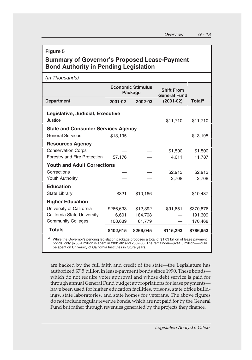#### **Figure 5**

## **Summary of Governor's Proposed Lease-Payment Bond Authority in Pending Legislation**

| (In Thousands)                                                                                                                                                                                             |                                     |           |                                          |                    |  |
|------------------------------------------------------------------------------------------------------------------------------------------------------------------------------------------------------------|-------------------------------------|-----------|------------------------------------------|--------------------|--|
|                                                                                                                                                                                                            | <b>Economic Stimulus</b><br>Package |           | <b>Shift From</b><br><b>General Fund</b> |                    |  |
| <b>Department</b>                                                                                                                                                                                          | 2001-02                             | 2002-03   | $(2001 - 02)$                            | Total <sup>a</sup> |  |
| Legislative, Judicial, Executive                                                                                                                                                                           |                                     |           |                                          |                    |  |
| Justice                                                                                                                                                                                                    |                                     |           | \$11,710                                 | \$11,710           |  |
| <b>State and Consumer Services Agency</b>                                                                                                                                                                  |                                     |           |                                          |                    |  |
| <b>General Services</b>                                                                                                                                                                                    | \$13,195                            |           |                                          | \$13,195           |  |
| <b>Resources Agency</b>                                                                                                                                                                                    |                                     |           |                                          |                    |  |
| <b>Conservation Corps</b>                                                                                                                                                                                  |                                     |           | \$1,500                                  | \$1,500            |  |
| Forestry and Fire Protection                                                                                                                                                                               | \$7,176                             |           | 4,611                                    | 11,787             |  |
| <b>Youth and Adult Corrections</b>                                                                                                                                                                         |                                     |           |                                          |                    |  |
| Corrections                                                                                                                                                                                                |                                     |           | \$2,913                                  | \$2,913            |  |
| <b>Youth Authority</b>                                                                                                                                                                                     |                                     |           | 2,708                                    | 2,708              |  |
| <b>Education</b>                                                                                                                                                                                           |                                     |           |                                          |                    |  |
| <b>State Library</b>                                                                                                                                                                                       | \$321                               | \$10,166  |                                          | \$10,487           |  |
| <b>Higher Education</b>                                                                                                                                                                                    |                                     |           |                                          |                    |  |
| University of California                                                                                                                                                                                   | \$266,633                           | \$12,392  | \$91,851                                 | \$370,876          |  |
| California State University                                                                                                                                                                                | 6,601                               | 184,708   |                                          | 191,309            |  |
| <b>Community Colleges</b>                                                                                                                                                                                  | 108,689                             | 61,779    |                                          | 170,468            |  |
| <b>Totals</b>                                                                                                                                                                                              | \$402,615                           | \$269,045 | \$115,293                                | \$786,953          |  |
| a While the Governor's pending legislation package proposes a total of \$1.03 billion of lease payment<br>bende, only 0700 1 million is coant in 2001, 00 and 2000, 00. The remainder that E million would |                                     |           |                                          |                    |  |

bonds, only \$788.4 million is spent in 2001-02 and 2002-03. The remainder—\$241.5 million—would be spent on University of California Institutes in future years.

are backed by the full faith and credit of the state—the Legislature has authorized \$7.5 billion in lease-payment bonds since 1990. These bonds which do not require voter approval and whose debt service is paid for through annual General Fund budget appropriations for lease payments have been used for higher education facilities, prisons, state office buildings, state laboratories, and state homes for veterans. The above figures do not include regular revenue bonds, which are not paid for by the General Fund but rather through revenues generated by the projects they finance.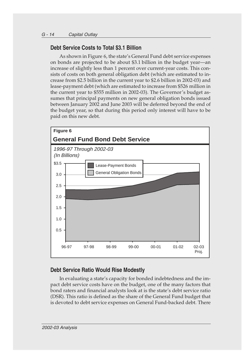#### **Debt Service Costs to Total \$3.1 Billion**

As shown in Figure 6, the state's General Fund debt service expenses on bonds are projected to be about \$3.1 billion in the budget year—an increase of slightly less than 1 percent over current-year costs. This consists of costs on both general obligation debt (which are estimated to increase from \$2.5 billion in the current year to \$2.6 billion in 2002-03) and lease-payment debt (which are estimated to increase from \$526 million in the current year to \$555 million in 2002-03). The Governor's budget assumes that principal payments on new general obligation bonds issued between January 2002 and June 2003 will be deferred beyond the end of the budget year, so that during this period only interest will have to be paid on this new debt.



### **Debt Service Ratio Would Rise Modestly**

In evaluating a state's capacity for bonded indebtedness and the impact debt service costs have on the budget, one of the many factors that bond raters and financial analysts look at is the state's debt service ratio (DSR). This ratio is defined as the share of the General Fund budget that is devoted to debt service expenses on General Fund-backed debt. There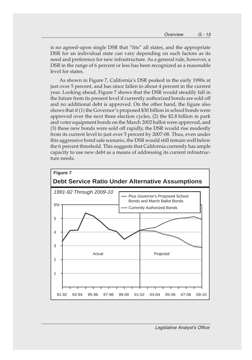is no agreed-upon single DSR that "fits" all states, and the appropriate DSR for an individual state can vary depending on such factors as its need and preference for new infrastructure. As a general rule, however, a DSR in the range of 6 percent or less has been recognized as a reasonable level for states.

As shown in Figure 7, California's DSR peaked in the early 1990s at just over 5 percent, and has since fallen to about 4 percent in the current year. Looking ahead, Figure 7 shows that the DSR would steadily fall in the future from its present level if currently authorized bonds are sold off and no additional debt is approved. On the other hand, the figure also shows that if (1) the Governor's proposed \$30 billion in school bonds were approved over the next three election cycles, (2) the \$2.8 billion in park and voter equipment bonds on the March 2002 ballot were approved, and (3) these new bonds were sold off rapidly, the DSR would rise modestly from its current level to just over 5 percent by 2007-08. Thus, even under this aggressive bond sale scenario, the DSR would still remain well below the 6 percent threshold. This suggests that California currently has ample capacity to use new debt as a means of addressing its current infrastructure needs.

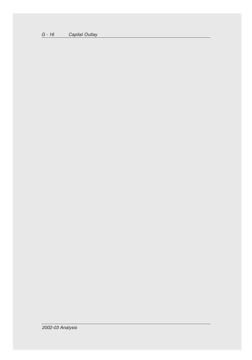G - 16 Capital Outlay

2002-03 Analysis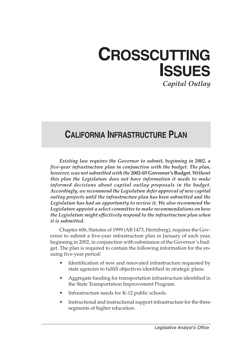# <span id="page-16-0"></span>**CROSSCUTTING ISSUES** *Capital Outlay*

## **CALIFORNIA INFRASTRUCTURE PLAN**

*Existing law requires the Governor to submit, beginning in 2002, a five-year infrastructure plan in conjunction with the budget. The plan, however, was not submitted with the* **2002-03 Governor's Budget***. Without this plan the Legislature does not have information it needs to make informed decisions about capital outlay proposals in the budget. Accordingly, we recommend the Legislature defer approval of new capital outlay projects until the infrastructure plan has been submitted and the Legislature has had an opportunity to review it. We also recommend the Legislature appoint a select committee to make recommendations on how the Legislature might effectively respond to the infrastructure plan when it is submitted.*

Chapter 606, Statutes of 1999 (AB 1473, Hertzberg), requires the Governor to submit a five-year infrastructure plan in January of each year, beginning in 2002, in conjunction with submission of the Governor's budget. The plan is required to contain the following information for the ensuing five-year period:

- Identification of new and renovated infrastructure requested by state agencies to fulfill objectives identified in strategic plans.
- Aggregate funding for transportation infrastructure identified in the State Transportation Improvement Program.
- Infrastructure needs for K-12 public schools.
- Instructional and instructional support infrastructure for the three segments of higher education.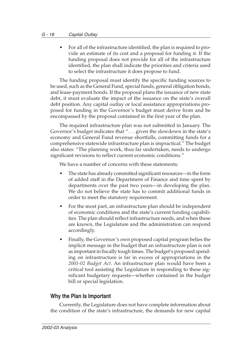• For all of the infrastructure identified, the plan is required to provide an estimate of its cost and a proposal for funding it. If the funding proposal does not provide for all of the infrastructure identified, the plan shall indicate the priorities and criteria used to select the infrastructure it does propose to fund.

The funding proposal must identify the specific funding sources to be used, such as the General Fund, special funds, general obligation bonds, and lease-payment bonds. If the proposal plans the issuance of new state debt, it must evaluate the impact of the issuance on the state's overall debt position. Any capital outlay or local assistance appropriations proposed for funding in the Governor's budget must derive from and be encompassed by the proposal contained in the first year of the plan.

The required infrastructure plan was not submitted in January. The Governor's budget indicates that ". . . given the slowdown in the state's economy and General Fund revenue shortfalls, committing funds for a comprehensive statewide infrastructure plan is impractical." The budget also states: "The planning work, thus far undertaken, needs to undergo significant revisions to reflect current economic conditions."

We have a number of concerns with these statements:

- The state has already committed significant resources—in the form of added staff in the Department of Finance and time spent by departments over the past two years—in developing the plan. We do not believe the state has to commit additional funds in order to meet the statutory requirement.
- For the most part, an infrastructure plan should be independent of economic conditions and the state's current funding capabilities. The plan should reflect infrastructure needs, and when these are known, the Legislature and the administration can respond accordingly.
- Finally, the Governor's own proposed capital program belies the implicit message in the budget that an infrastructure plan is not as important in fiscally tough times. The budget's proposed spending on infrastructure is far in excess of appropriations in the *2001-02 Budget Act*. An infrastructure plan would have been a critical tool assisting the Legislature in responding to these significant budgetary requests—whether contained in the budget bill or special legislation.

### **Why the Plan Is Important**

Currently, the Legislature does not have complete information about the condition of the state's infrastructure, the demands for new capital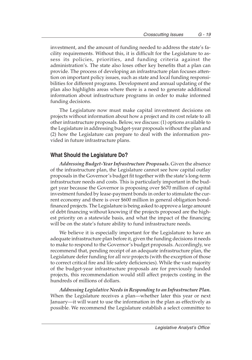investment, and the amount of funding needed to address the state's facility requirements. Without this, it is difficult for the Legislature to assess its policies, priorities, and funding criteria against the administration's. The state also loses other key benefits that a plan can provide. The process of developing an infrastructure plan focuses attention on important policy issues, such as state and local funding responsibilities for different programs. Development and annual updating of the plan also highlights areas where there is a need to generate additional information about infrastructure programs in order to make informed funding decisions.

The Legislature now must make capital investment decisions on projects without information about how a project and its cost relate to all other infrastructure proposals. Below, we discuss: (1) options available to the Legislature in addressing budget-year proposals without the plan and (2) how the Legislature can prepare to deal with the information provided in future infrastructure plans.

### **What Should the Legislature Do?**

*Addressing Budget-Year Infrastructure Proposals.* Given the absence of the infrastructure plan, the Legislature cannot see how capital outlay proposals in the Governor's budget fit together with the state's long-term infrastructure needs and costs. This is particularly important in the budget year because the Governor is proposing over \$670 million of capital investment funded by lease-payment bonds in order to stimulate the current economy and there is over \$600 million in general obligation bondfinanced projects. The Legislature is being asked to approve a large amount of debt financing without knowing if the projects proposed are the highest priority on a statewide basis, and what the impact of the financing will be on the state's future ability to fund infrastructure needs.

We believe it is especially important for the Legislature to have an adequate infrastructure plan before it, given the funding decisions it needs to make to respond to the Governor's budget proposals. Accordingly, we recommend that, pending receipt of an adequate infrastructure plan, the Legislature defer funding for all *new* projects (with the exception of those to correct critical fire and life safety deficiencies). While the vast majority of the budget-year infrastructure proposals are for previously funded projects, this recommendation would still affect projects costing in the hundreds of millions of dollars.

*Addressing Legislative Needs in Responding to an Infrastructure Plan.* When the Legislature receives a plan—whether later this year or next January—it will want to use the information in the plan as effectively as possible. We recommend the Legislature establish a select committee to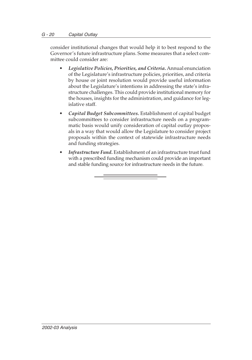consider institutional changes that would help it to best respond to the Governor's future infrastructure plans. Some measures that a select committee could consider are:

- *Legislative Policies, Priorities, and Criteria.* Annual enunciation of the Legislature's infrastructure policies, priorities, and criteria by house or joint resolution would provide useful information about the Legislature's intentions in addressing the state's infrastructure challenges. This could provide institutional memory for the houses, insights for the administration, and guidance for legislative staff.
- *Capital Budget Subcommittees.* Establishment of capital budget subcommittees to consider infrastructure needs on a programmatic basis would unify consideration of capital outlay proposals in a way that would allow the Legislature to consider project proposals within the context of statewide infrastructure needs and funding strategies.
- *Infrastructure Fund.* Establishment of an infrastructure trust fund with a prescribed funding mechanism could provide an important and stable funding source for infrastructure needs in the future.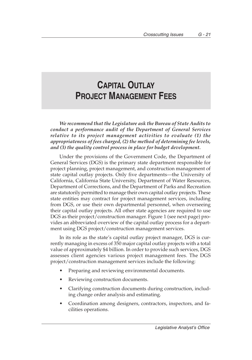## <span id="page-20-0"></span>**CAPITAL OUTLAY PROJECT MANAGEMENT FEES**

*We recommend that the Legislature ask the Bureau of State Audits to conduct a performance audit of the Department of General Services relative to its project management activities to evaluate (1) the appropriateness of fees charged, (2) the method of determining fee levels, and (3) the quality control process in place for budget development.*

Under the provisions of the Government Code, the Department of General Services (DGS) is the primary state department responsible for project planning, project management, and construction management of state capital outlay projects. Only five departments—the University of California, California State University, Department of Water Resources, Department of Corrections, and the Department of Parks and Recreation are statutorily permitted to manage their own capital outlay projects. These state entities may contract for project management services, including from DGS, or use their own departmental personnel, when overseeing their capital outlay projects. All other state agencies are required to use DGS as their project/construction manager. Figure 1 (see next page) provides an abbreviated overview of the capital outlay process for a department using DGS project/construction management services.

In its role as the state's capital outlay project manager, DGS is currently managing in excess of 350 major capital outlay projects with a total value of approximately \$4 billion. In order to provide such services, DGS assesses client agencies various project management fees. The DGS project/construction management services include the following:

- Preparing and reviewing environmental documents.
- Reviewing construction documents.
- Clarifying construction documents during construction, including change order analysis and estimating.
- Coordination among designers, contractors, inspectors, and facilities operations.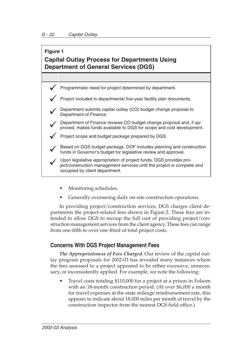

- Monitoring schedules.
- Generally overseeing daily on-site construction operations.

In providing project/construction services, DGS charges client departments the project-related fees shown in Figure 2. These fees are intended to allow DGS to recoup the full cost of providing project/construction management services from the client agency. These fees can range from one-fifth to over one-third of total project costs.

## **Concerns With DGS Project Management Fees**

*The Appropriateness of Fees Charged.* Our review of the capital outlay program proposals for 2002-03 has revealed many instances where the fees assessed to a project appeared to be either excessive, unnecessary, or inconsistently applied. For example, we note the following:

• Travel costs totaling \$110,000 for a project at a prison in Folsom with an 18-month construction period. (At over \$6,000 a month for travel expenses at the state mileage reimbursement rate, this appears to indicate about 18,000 miles per month of travel by the construction inspector from the nearest DGS field office.)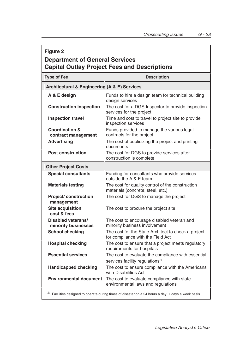| <b>Figure 2</b><br><b>Department of General Services</b><br><b>Capital Outlay Project Fees and Descriptions</b> |                                                                                                  |  |  |
|-----------------------------------------------------------------------------------------------------------------|--------------------------------------------------------------------------------------------------|--|--|
| <b>Type of Fee</b>                                                                                              | <b>Description</b>                                                                               |  |  |
| Architectural & Engineering (A & E) Services                                                                    |                                                                                                  |  |  |
| A & E design                                                                                                    | Funds to hire a design team for technical building<br>design services                            |  |  |
| <b>Construction inspection</b>                                                                                  | The cost for a DGS Inspector to provide inspection<br>services for the project                   |  |  |
| <b>Inspection travel</b>                                                                                        | Time and cost to travel to project site to provide<br>inspection services                        |  |  |
| <b>Coordination &amp;</b><br>contract management                                                                | Funds provided to manage the various legal<br>contracts for the project                          |  |  |
| <b>Advertising</b>                                                                                              | The cost of publicizing the project and printing<br>documents                                    |  |  |
| <b>Post construction</b>                                                                                        | The cost for DGS to provide services after<br>construction is complete                           |  |  |
| <b>Other Project Costs</b>                                                                                      |                                                                                                  |  |  |
| <b>Special consultants</b>                                                                                      | Funding for consultants who provide services<br>outside the A & E team                           |  |  |
| <b>Materials testing</b>                                                                                        | The cost for quality control of the construction<br>materials (concrete, steel, etc.)            |  |  |
| <b>Project/ construction</b><br>management                                                                      | The cost for DGS to manage the project                                                           |  |  |
| <b>Site acquisition</b><br>cost & fees                                                                          | The cost to procure the project site                                                             |  |  |
| Disabled veterans/<br>minority businesses                                                                       | The cost to encourage disabled veteran and<br>minority business involvement                      |  |  |
| <b>School checking</b>                                                                                          | The cost for the State Architect to check a project<br>for compliance with the Field Act         |  |  |
| <b>Hospital checking</b>                                                                                        | The cost to ensure that a project meets regulatory<br>requirements for hospitals                 |  |  |
| <b>Essential services</b>                                                                                       | The cost to evaluate the compliance with essential<br>services facility regulations <sup>a</sup> |  |  |
| <b>Handicapped checking</b>                                                                                     | The cost to ensure compliance with the Americans<br>with Disabilities Act                        |  |  |
| <b>Environmental document</b>                                                                                   | The cost to evaluate compliance with state<br>environmental laws and regulations                 |  |  |
| 2 — ….                                                                                                          | $\sim$ $\sim$ $\sim$<br>$\sim$<br>$\sim$ $\sim$ $\sim$                                           |  |  |

a Facilities designed to operate during times of disaster on a 24 hours a day, 7 days a week basis.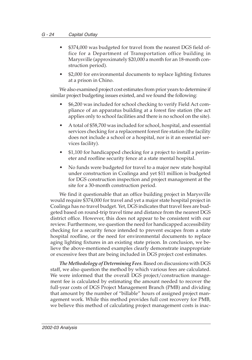- \$374,000 was budgeted for travel from the nearest DGS field office for a Department of Transportation office building in Marysville (approximately \$20,000 a month for an 18-month construction period).
- \$2,000 for environmental documents to replace lighting fixtures at a prison in Chino.

We also examined project cost estimates from prior years to determine if similar project budgeting issues existed, and we found the following:

- \$6,200 was included for school checking to verify Field Act compliance of an apparatus building at a forest fire station (the act applies only to school facilities and there is no school on the site).
- A total of \$58,700 was included for school, hospital, and essential services checking for a replacement forest fire station (the facility does not include a school or a hospital, nor is it an essential services facility).
- \$1,100 for handicapped checking for a project to install a perimeter and roofline security fence at a state mental hospital.
- No funds were budgeted for travel to a major new state hospital under construction in Coalinga and yet \$11 million is budgeted for DGS construction inspection and project management at the site for a 30-month construction period.

We find it questionable that an office building project in Marysville would require \$374,000 for travel and yet a major state hospital project in Coalinga has no travel budget. Yet, DGS indicates that travel fees are budgeted based on round-trip travel time and distance from the nearest DGS district office. However, this does not appear to be consistent with our review. Furthermore, we question the need for handicapped accessibility checking for a security fence intended to prevent escapes from a state hospital roofline, or the need for environmental documents to replace aging lighting fixtures in an existing state prison. In conclusion, we believe the above-mentioned examples clearly demonstrate inappropriate or excessive fees that are being included in DGS project cost estimates.

*The Methodology of Determining Fees*. Based on discussions with DGS staff, we also question the method by which various fees are calculated. We were informed that the overall DGS project/construction management fee is calculated by estimating the amount needed to recover the full-year costs of DGS Project Management Branch (PMB) and dividing that amount by the number of "billable" hours of assigned project management work. While this method provides full cost recovery for PMB, we believe this method of calculating project management costs is inac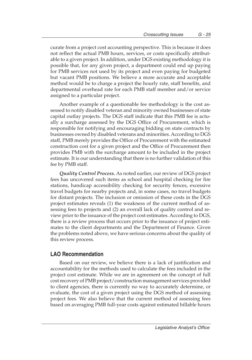curate from a project cost accounting perspective. This is because it does not reflect the actual PMB hours, services, or costs specifically attributable to a given project. In addition, under DGS existing methodology it is possible that, for any given project, a department could end up paying for PMB services not used by its project and even paying for budgeted but vacant PMB positions. We believe a more accurate and acceptable method would be to charge a project the hourly rate, staff benefits, and departmental overhead rate for each PMB staff member and/or service assigned to a particular project.

Another example of a questionable fee methodology is the cost assessed to notify disabled veteran and minority owned businesses of state capital outlay projects. The DGS staff indicate that this PMB fee is actually a surcharge assessed by the DGS Office of Procurement, which is responsible for notifying and encouraging bidding on state contracts by businesses owned by disabled veterans and minorities. According to DGS staff, PMB merely provides the Office of Procurement with the estimated construction cost for a given project and the Office of Procurement then provides PMB with the surcharge amount to be included in the project estimate. It is our understanding that there is no further validation of this fee by PMB staff.

*Quality Control Process.* As noted earlier, our review of DGS project fees has uncovered such items as school and hospital checking for fire stations, handicap accessibility checking for security fences, excessive travel budgets for nearby projects and, in some cases, no travel budgets for distant projects. The inclusion or omission of these costs in the DGS project estimates reveals (1) the weakness of the current method of assessing fees to projects and (2) an overall lack of quality control and review prior to the issuance of the project cost estimates. According to DGS, there is a review process that occurs prior to the issuance of project estimates to the client departments and the Department of Finance. Given the problems noted above, we have serious concerns about the quality of this review process.

### **LAO Recommendation**

Based on our review, we believe there is a lack of justification and accountability for the methods used to calculate the fees included in the project cost estimate. While we are in agreement on the concept of full cost recovery of PMB project/construction management services provided to client agencies, there is currently no way to accurately determine, or evaluate, the cost of a given project using the DGS method of assessing project fees. We also believe that the current method of assessing fees based on averaging PMB full-year costs against estimated billable hours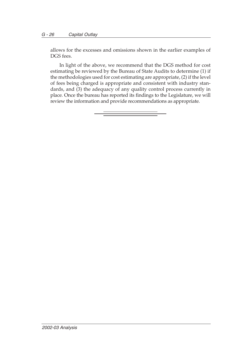allows for the excesses and omissions shown in the earlier examples of DGS fees.

In light of the above, we recommend that the DGS method for cost estimating be reviewed by the Bureau of State Audits to determine (1) if the methodologies used for cost estimating are appropriate, (2) if the level of fees being charged is appropriate and consistent with industry standards, and (3) the adequacy of any quality control process currently in place. Once the bureau has reported its findings to the Legislature, we will review the information and provide recommendations as appropriate.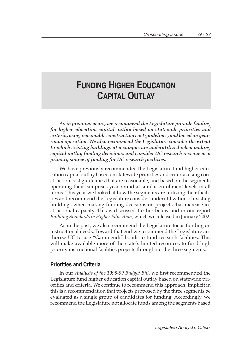## <span id="page-26-0"></span>**FUNDING HIGHER EDUCATION CAPITAL OUTLAY**

*As in previous years, we recommend the Legislature provide funding for higher education capital outlay based on statewide priorities and criteria, using reasonable construction cost guidelines, and based on yearround operation. We also recommend the Legislature consider the extent to which existing buildings at a campus are underutilized when making capital outlay funding decisions, and consider UC research revenue as a primary source of funding for UC research facilities.*

We have previously recommended the Legislature fund higher education capital outlay based on statewide priorities and criteria, using construction cost guidelines that are reasonable, and based on the segments operating their campuses year round at similar enrollment levels in all terms. This year we looked at how the segments are utilizing their facilities and recommend the Legislature consider underutilization of existing buildings when making funding decisions on projects that increase instructional capacity. This is discussed further below and in our report *Building Standards in Higher Education,* which we released in January 2002.

As in the past, we also recommend the Legislature focus funding on instructional needs. Toward that end we recommend the Legislature authorize UC to use "Garamendi" bonds to fund research facilities. This will make available more of the state's limited resources to fund high priority instructional facilities projects throughout the three segments.

### **Priorities and Criteria**

In our *Analysis of the 1998-99 Budget Bill,* we first recommended the Legislature fund higher education capital outlay based on statewide priorities and criteria. We continue to recommend this approach. Implicit in this is a recommendation that projects proposed by the three segments be evaluated as a single group of candidates for funding. Accordingly, we recommend the Legislature not allocate funds among the segments based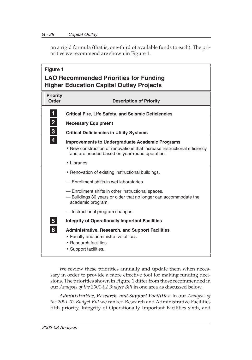on a rigid formula (that is, one-third of available funds to each). The priorities we recommend are shown in Figure 1.



We review these priorities annually and update them when necessary in order to provide a more effective tool for making funding decisions. The priorities shown in Figure 1 differ from those recommended in our *Analysis of the 2001-02 Budget Bill* in one area as discussed below.

*Administrative, Research, and Support Facilities.* In our *Analysis of the 2001-02 Budget Bill* we ranked Research and Administrative Facilities fifth priority, Integrity of Operationally Important Facilities sixth, and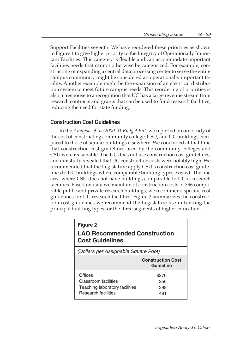Support Facilities seventh. We have reordered these priorities as shown in Figure 1 to give higher priority to the Integrity of Operationally Important Facilities. This category is flexible and can accommodate important facilities needs that cannot otherwise be categorized. For example, constructing or expanding a central data processing center to serve the entire campus community might be considered an operationally important facility. Another example might be the expansion of an electrical distribution system to meet future campus needs. This reordering of priorities is also in response to a recognition that UC has a large revenue stream from research contracts and grants that can be used to fund research facilities, reducing the need for state funding.

### **Construction Cost Guidelines**

In the *Analysis of the 2000-01 Budget Bill,* we reported on our study of the cost of constructing community college, CSU, and UC buildings compared to those of similar buildings elsewhere. We concluded at that time that construction cost guidelines used by the community colleges and CSU were reasonable. The UC does not use construction cost guidelines, and our study revealed that UC construction costs were notably high. We recommended that the Legislature apply CSU's construction cost guidelines to UC buildings where comparable building types existed. The one area where CSU does not have buildings comparable to UC is research facilities. Based on data we maintain of construction costs of 396 comparable public and private research buildings, we recommend specific cost guidelines for UC research facilities. Figure 2 summarizes the construction cost guidelines we recommend the Legislature use in funding the principal building types for the three segments of higher education.

| <b>Figure 2</b><br><b>LAO Recommended Construction</b><br><b>Cost Guidelines</b> |                                       |  |
|----------------------------------------------------------------------------------|---------------------------------------|--|
| (Dollars per Assignable Square Foot)                                             |                                       |  |
|                                                                                  | <b>Construction Cost</b><br>Guideline |  |
| Offices<br>Classroom facilities<br>Teaching laboratory facilities                | \$270<br>256<br>398                   |  |
| <b>Research facilities</b>                                                       | 481                                   |  |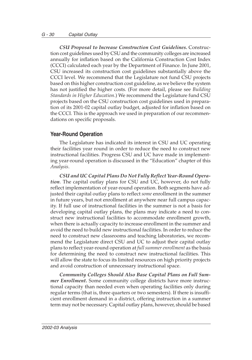*CSU Proposal to Increase Construction Cost Guidelines.* Construction cost guidelines used by CSU and the community colleges are increased annually for inflation based on the California Construction Cost Index (CCCI) calculated each year by the Department of Finance. In June 2001, CSU increased its construction cost guidelines substantially above the CCCI level. We recommend that the Legislature not fund CSU projects based on this higher construction cost guideline, as we believe the system has not justified the higher costs. (For more detail, please see *Building Standards in Higher Education*.) We recommend the Legislature fund CSU projects based on the CSU construction cost guidelines used in preparation of its 2001-02 capital outlay budget, adjusted for inflation based on the CCCI. This is the approach we used in preparation of our recommendations on specific proposals.

### **Year-Round Operation**

The Legislature has indicated its interest in CSU and UC operating their facilities year round in order to reduce the need to construct new instructional facilities. Progress CSU and UC have made in implementing year-round operation is discussed in the "Education" chapter of this *Analysis*.

*CSU and UC Capital Plans Do Not Fully Reflect Year-Round Operation*. The capital outlay plans for CSU and UC, however, do not fully reflect implementation of year-round operation. Both segments have adjusted their capital outlay plans to reflect *some* enrollment in the summer in future years, but not enrollment at anywhere near full campus capacity. If full use of instructional facilities in the summer is not a basis for developing capital outlay plans, the plans may indicate a need to construct new instructional facilities to accommodate enrollment growth, when there is actually capacity to increase enrollment in the summer and avoid the need to build new instructional facilities. In order to reduce the need to construct new classrooms and teaching laboratories, we recommend the Legislature direct CSU and UC to adjust their capital outlay plans to reflect year-round operation at *full summer enrollment* as the basis for determining the need to construct new instructional facilities. This will allow the state to focus its limited resources on high priority projects and avoid construction of unnecessary instructional space.

*Community Colleges Should Also Base Capital Plans on Full Summer Enrollment.* Some community college districts have more instructional capacity than needed even when operating facilities only during regular terms (that is, three quarters or two semesters). If there is insufficient enrollment demand in a district, offering instruction in a summer term may not be necessary. Capital outlay plans, however, should be based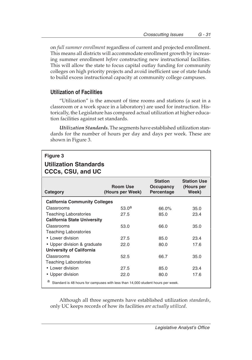on *full summer enrollment* regardless of current and projected enrollment. This means all districts will accommodate enrollment growth by increasing summer enrollment *before* constructing new instructional facilities. This will allow the state to focus capital outlay funding for community colleges on high priority projects and avoid inefficient use of state funds to build excess instructional capacity at community college campuses.

## **Utilization of Facilities**

"Utilization" is the amount of time rooms and stations (a seat in a classroom or a work space in a laboratory) are used for instruction. Historically, the Legislature has compared actual utilization at higher education facilities against set standards.

*Utilization Standards.* The segments have established utilization standards for the number of hours per day and days per week. These are shown in Figure 3.

| Figure 3<br><b>Utilization Standards</b><br><b>CCCs, CSU, and UC</b>                 |                              |                                                  |                                           |  |
|--------------------------------------------------------------------------------------|------------------------------|--------------------------------------------------|-------------------------------------------|--|
| Category                                                                             | Room Use<br>(Hours per Week) | <b>Station</b><br>Occupancy<br><b>Percentage</b> | <b>Station Use</b><br>(Hours per<br>Week) |  |
| <b>California Community Colleges</b>                                                 |                              |                                                  |                                           |  |
| Classrooms                                                                           | 53.0 <sup>a</sup>            | 66.0%                                            | 35.0                                      |  |
| <b>Teaching Laboratories</b>                                                         | 27.5                         | 85.0                                             | 23.4                                      |  |
| <b>California State University</b>                                                   |                              |                                                  |                                           |  |
| Classrooms                                                                           | 53.0                         | 66.0                                             | 35.0                                      |  |
| <b>Teaching Laboratories</b>                                                         |                              |                                                  |                                           |  |
| • Lower division                                                                     | 27.5                         | 85.0                                             | 23.4                                      |  |
| • Upper division & graduate                                                          | 22 O                         | 80.0                                             | 17.6                                      |  |
| <b>University of California</b>                                                      |                              |                                                  |                                           |  |
| Classrooms                                                                           | 52.5                         | 66.7                                             | 35.0                                      |  |
| <b>Teaching Laboratories</b>                                                         |                              |                                                  |                                           |  |
| • Lower division                                                                     | 27.5                         | 85.0                                             | 23.4                                      |  |
| • Upper division                                                                     | 22.0                         | 80.0                                             | 17.6                                      |  |
| а<br>Standard is 48 hours for campuses with less than 14,000 student hours per week. |                              |                                                  |                                           |  |

### Although all three segments have established utilization *standards*, only UC keeps records of how its facilities *are actually utilized*.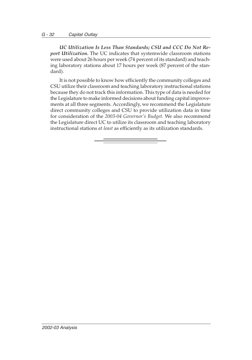*UC Utilization Is Less Than Standards; CSU and CCC Do Not Report Utilization.* The UC indicates that systemwide classroom stations were used about 26 hours per week (74 percent of its standard) and teaching laboratory stations about 17 hours per week (87 percent of the standard).

It is not possible to know how efficiently the community colleges and CSU utilize their classroom and teaching laboratory instructional stations because they do not track this information. This type of data is needed for the Legislature to make informed decisions about funding capital improvements at all three segments. Accordingly, we recommend the Legislature direct community colleges and CSU to provide utilization data in time for consideration of the *2003-04 Governor's Budget*. We also recommend the Legislature direct UC to utilize its classroom and teaching laboratory instructional stations *at least* as efficiently as its utilization standards.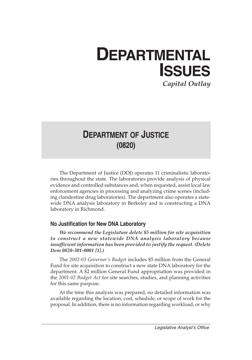# <span id="page-32-0"></span>**DEPARTMENTAL ISSUES** *Capital Outlay*

## **DEPARTMENT OF JUSTICE (0820)**

The Department of Justice (DOJ) operates 11 criminalistic laboratories throughout the state. The laboratories provide analysis of physical evidence and controlled substances and, when requested, assist local law enforcement agencies in processing and analyzing crime scenes (including clandestine drug laboratories). The department also operates a statewide DNA analysis laboratory in Berkeley and is constructing a DNA laboratory in Richmond.

### **No Justification for New DNA Laboratory**

*We recommend the Legislature delete \$5 million for site acquisition to construct a new statewide DNA analysis laboratory because insufficient information has been provided to justify the request. (Delete Item 0820-301-0001 [1].)*

The *2002-03 Governor's Budget* includes \$5 million from the General Fund for site acquisition to construct a new state DNA laboratory for the department. A \$2 million General Fund appropriation was provided in the *2001-02 Budget Act* for site searches, studies, and planning activities for this same purpose.

At the time this analysis was prepared, no detailed information was available regarding the location, cost, schedule, or scope of work for the proposal. In addition, there is no information regarding workload, or why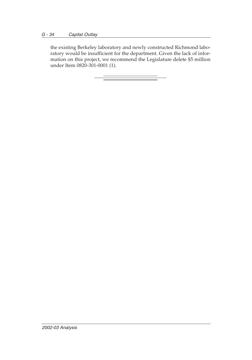the existing Berkeley laboratory and newly constructed Richmond laboratory would be insufficient for the department. Given the lack of information on this project, we recommend the Legislature delete \$5 million under Item 0820-301-0001 (1).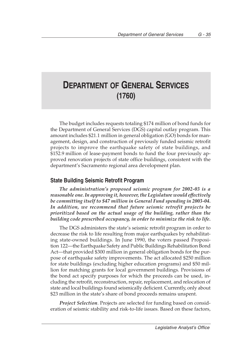## <span id="page-34-0"></span>**DEPARTMENT OF GENERAL SERVICES (1760)**

The budget includes requests totaling \$174 million of bond funds for the Department of General Services (DGS) capital outlay program. This amount includes \$21.1 million in general obligation (GO) bonds for management, design, and construction of previously funded seismic retrofit projects to improve the earthquake safety of state buildings, and \$152.9 million of lease-payment bonds to fund the four previously approved renovation projects of state office buildings, consistent with the department's Sacramento regional area development plan.

### **State Building Seismic Retrofit Program**

*The administration's proposed seismic program for 2002-03 is a reasonable one. In approving it, however, the Legislature would effectively be committing itself to \$47 million in General Fund spending in 2003-04. In addition, we recommend that future seismic retrofit projects be prioritized based on the actual usage of the building, rather than the building code prescribed occupancy, in order to minimize the risk to life.*

The DGS administers the state's seismic retrofit program in order to decrease the risk to life resulting from major earthquakes by rehabilitating state-owned buildings. In June 1990, the voters passed Proposition 122—the Earthquake Safety and Public Buildings Rehabilitation Bond Act—that provided \$300 million in general obligation bonds for the purpose of earthquake safety improvements. The act allocated \$250 million for state buildings (excluding higher education programs) and \$50 million for matching grants for local government buildings. Provisions of the bond act specify purposes for which the proceeds can be used, including the retrofit, reconstruction, repair, replacement, and relocation of state and local buildings found seismically deficient. Currently, only about \$23 million in the state's share of bond proceeds remains unspent.

*Project Selection*. Projects are selected for funding based on consideration of seismic stability and risk-to-life issues. Based on these factors,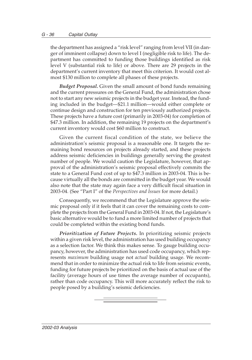the department has assigned a "risk level" ranging from level VII (in danger of imminent collapse) down to level I (negligible risk to life). The department has committed to funding those buildings identified as risk level V (substantial risk to life) or above. There are 29 projects in the department's current inventory that meet this criterion. It would cost almost \$130 million to complete all phases of these projects.

*Budget Proposal.* Given the small amount of bond funds remaining and the current pressures on the General Fund, the administration chose not to start any new seismic projects in the budget year. Instead, the funding included in the budget—\$21.1 million—would either complete or continue design and construction for ten previously authorized projects. These projects have a future cost (primarily in 2003-04) for completion of \$47.3 million. In addition, the remaining 19 projects on the department's current inventory would cost \$60 million to construct.

Given the current fiscal condition of the state, we believe the administration's seismic proposal is a reasonable one. It targets the remaining bond resources on projects already started, and these projects address seismic deficiencies in buildings generally serving the greatest number of people. We would caution the Legislature, however, that approval of the administration's seismic proposal effectively commits the state to a General Fund cost of up to \$47.3 million in 2003-04. This is because virtually all the bonds are committed in the budget year. We would also note that the state may again face a very difficult fiscal situation in 2003-04. (See "Part I" of the *Perspectives and Issues* for more detail.)

Consequently, we recommend that the Legislature approve the seismic proposal only if it feels that it can cover the remaining costs to complete the projects from the General Fund in 2003-04. If not, the Legislature's basic alternative would be to fund a more limited number of projects that could be completed within the existing bond funds.

*Prioritization of Future Projects.* In prioritizing seismic projects within a given risk level, the administration has used building occupancy as a selection factor. We think this makes sense. To gauge building occupancy, however, the administration has used code occupancy, which represents *maximum* building usage not *actual* building usage. We recommend that in order to minimize the actual risk to life from seismic events, funding for future projects be prioritized on the basis of actual use of the facility (average hours of use times the average number of occupants), rather than code occupancy. This will more accurately reflect the risk to people posed by a building's seismic deficiencies.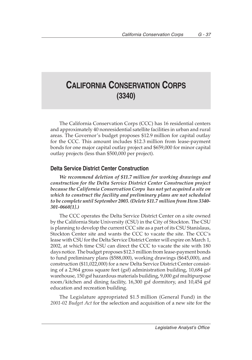# **CALIFORNIA CONSERVATION CORPS (3340)**

The California Conservation Corps (CCC) has 16 residential centers and approximately 40 nonresidential satellite facilities in urban and rural areas. The Governor's budget proposes \$12.9 million for capital outlay for the CCC. This amount includes \$12.3 million from lease-payment bonds for one major capital outlay project and \$659,000 for minor capital outlay projects (less than \$500,000 per project).

### **Delta Service District Center Construction**

*We recommend deletion of \$11.7 million for working drawings and construction for the Delta Service District Center Construction project because the California Conservation Corps has not yet acquired a site on which to construct the facility and preliminary plans are not scheduled to be complete until September 2003. (Delete \$11.7 million from Item 3340- 301-0660[1].)*

The CCC operates the Delta Service District Center on a site owned by the California State University (CSU) in the City of Stockton. The CSU is planning to develop the current CCC site as a part of its CSU Stanislaus, Stockton Center site and wants the CCC to vacate the site. The CCC's lease with CSU for the Delta Service District Center will expire on March 1, 2002, at which time CSU can direct the CCC to vacate the site with 180 days notice. The budget proposes \$12.3 million from lease-payment bonds to fund preliminary plans (\$588,000), working drawings (\$645,000), and construction (\$11,022,000) for a new Delta Service District Center consisting of a 2,964 gross square feet (gsf) administration building, 10,684 gsf warehouse, 150 gsf hazardous materials building, 9,000 gsf multipurpose room/kitchen and dining facility, 16,300 gsf dormitory, and 10,454 gsf education and recreation building.

The Legislature appropriated \$1.5 million (General Fund) in the *2001-02 Budget Act* for the selection and acquisition of a new site for the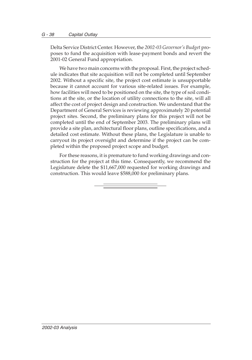Delta Service District Center. However, the *2002-03 Governor's Budget* proposes to fund the acquisition with lease-payment bonds and revert the 2001-02 General Fund appropriation.

We have two main concerns with the proposal. First, the project schedule indicates that site acquisition will not be completed until September 2002. Without a specific site, the project cost estimate is unsupportable because it cannot account for various site-related issues. For example, how facilities will need to be positioned on the site, the type of soil conditions at the site, or the location of utility connections to the site, will all affect the cost of project design and construction. We understand that the Department of General Services is reviewing approximately 20 potential project sites. Second, the preliminary plans for this project will not be completed until the end of September 2003. The preliminary plans will provide a site plan, architectural floor plans, outline specifications, and a detailed cost estimate. Without these plans, the Legislature is unable to carryout its project oversight and determine if the project can be completed within the proposed project scope and budget.

For these reasons, it is premature to fund working drawings and construction for the project at this time. Consequently, we recommend the Legislature delete the \$11,667,000 requested for working drawings and construction. This would leave \$588,000 for preliminary plans.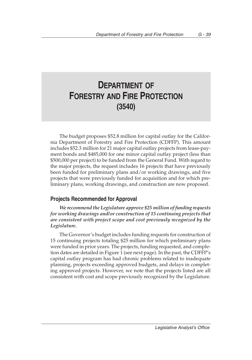# **DEPARTMENT OF FORESTRY AND FIRE PROTECTION (3540)**

The budget proposes \$52.8 million for capital outlay for the California Department of Forestry and Fire Protection (CDFFP). This amount includes \$52.3 million for 21 major capital outlay projects from lease-payment bonds and \$485,000 for one minor capital outlay project (less than \$500,000 per project) to be funded from the General Fund. With regard to the major projects, the request includes 16 projects that have previously been funded for preliminary plans and/or working drawings, and five projects that were previously funded for acquisition and for which preliminary plans, working drawings, and construction are now proposed.

### **Projects Recommended for Approval**

*We recommend the Legislature approve \$25 million of funding requests for working drawings and/or construction of 15 continuing projects that are consistent with project scope and cost previously recognized by the Legislature.*

The Governor's budget includes funding requests for construction of 15 continuing projects totaling \$25 million for which preliminary plans were funded in prior years. The projects, funding requested, and completion dates are detailed in Figure 1 (see next page). In the past, the CDFFP's capital outlay program has had chronic problems related to inadequate planning, projects exceeding approved budgets, and delays in completing approved projects. However, we note that the projects listed are all consistent with cost and scope previously recognized by the Legislature.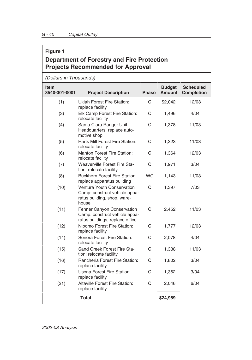### **Figure 1**

# **Department of Forestry and Fire Protection Projects Recommended for Approval**

|  | (Dollars in Thousands) |
|--|------------------------|
|--|------------------------|

| Item<br>3540-301-0001 | <b>Project Description</b>                                                                          | <b>Phase</b> | <b>Budget</b><br><b>Amount</b> | <b>Scheduled</b><br><b>Completion</b> |
|-----------------------|-----------------------------------------------------------------------------------------------------|--------------|--------------------------------|---------------------------------------|
| (1)                   | Ukiah Forest Fire Station:<br>replace facility                                                      | C            | \$2,042                        | 12/03                                 |
| (3)                   | Elk Camp Forest Fire Station:<br>relocate facility                                                  | C            | 1,496                          | 4/04                                  |
| (4)                   | Santa Clara Ranger Unit<br>Headquarters: replace auto-<br>motive shop                               | C            | 1,378                          | 11/03                                 |
| (5)                   | Harts Mill Forest Fire Station:<br>relocate facility                                                | C            | 1,323                          | 11/03                                 |
| (6)                   | Manton Forest Fire Station:<br>relocate facility                                                    | C            | 1,364                          | 12/03                                 |
| (7)                   | <b>Weaverville Forest Fire Sta-</b><br>tion: relocate facility                                      | C            | 1,971                          | 3/04                                  |
| (8)                   | <b>Buckhorn Forest Fire Station:</b><br>replace apparatus building                                  | WC           | 1,143                          | 11/03                                 |
| (10)                  | Ventura Youth Conservation<br>Camp: construct vehicle appa-<br>ratus building, shop, ware-<br>house | C            | 1,397                          | 7/03                                  |
| (11)                  | Fenner Canyon Conservation<br>Camp: construct vehicle appa-<br>ratus buildings, replace office      | C            | 2,452                          | 11/03                                 |
| (12)                  | Nipomo Forest Fire Station:<br>replace facility                                                     | C            | 1,777                          | 12/03                                 |
| (14)                  | Sonora Forest Fire Station:<br>relocate facility                                                    | C            | 2,078                          | 4/04                                  |
| (15)                  | Sand Creek Forest Fire Sta-<br>tion: relocate facility                                              | С            | 1,338                          | 11/03                                 |
| (16)                  | Rancheria Forest Fire Station:<br>replace facility                                                  | C            | 1,802                          | 3/04                                  |
| (17)                  | Usona Forest Fire Station:<br>replace facility                                                      | C            | 1,362                          | 3/04                                  |
| (21)                  | <b>Altaville Forest Fire Station:</b><br>replace facility                                           | C            | 2,046                          | 6/04                                  |
|                       | <b>Total</b>                                                                                        |              | \$24,969                       |                                       |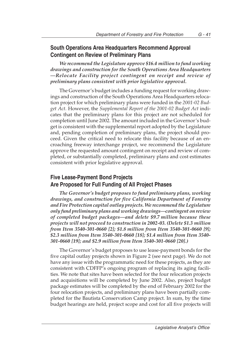### **South Operations Area Headquarters Recommend Approval Contingent on Review of Preliminary Plans**

*We recommend the Legislature approve \$16.4 million to fund working drawings and construction for the South Operations Area Headquarters —Relocate Facility project contingent on receipt and review of preliminary plans consistent with prior legislative approval.*

The Governor's budget includes a funding request for working drawings and construction of the South Operations Area Headquarters relocation project for which preliminary plans were funded in the *2001-02 Budget Act.* However, the *Supplemental Report of the 2001-02 Budget Act* indicates that the preliminary plans for this project are not scheduled for completion until June 2002. The amount included in the Governor's budget is consistent with the supplemental report adopted by the Legislature and, pending completion of preliminary plans, the project should proceed. Given the critical need to relocate this facility because of an encroaching freeway interchange project, we recommend the Legislature approve the requested amount contingent on receipt and review of completed, or substantially completed, preliminary plans and cost estimates consistent with prior legislative approval.

## **Five Lease-Payment Bond Projects Are Proposed for Full Funding of All Project Phases**

*The Governor's budget proposes to fund preliminary plans, working drawings, and construction for five California Department of Forestry and Fire Protection capital outlay projects. We recommend the Legislature only fund preliminary plans and working drawings—contingent on review of completed budget packages—and delete \$9.7 million because these projects will not proceed to construction in 2002-03. (Delete \$1.3 million from Item 3540-301-0660 [2]; \$1.8 million from Item 3540-301-0660 [9]; \$2.3 million from Item 3540-301-0660 [18]; \$1.4 million from Item 3540- 301-0660 [19]; and \$2.9 million from Item 3540-301-0660 [20].)*

The Governor's budget proposes to use lease-payment bonds for the five capital outlay projects shown in Figure 2 (see next page). We do not have any issue with the programmatic need for these projects, as they are consistent with CDFFP's ongoing program of replacing its aging facilities. We note that sites have been selected for the four relocation projects and acquisitions will be completed by June 2002. Also, project budget package estimates will be completed by the end of February 2002 for the four relocation projects, and preliminary plans have been partially completed for the Bautista Conservation Camp project. In sum, by the time budget hearings are held, project scope and cost for all five projects will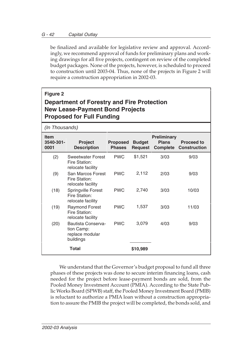be finalized and available for legislative review and approval. Accordingly, we recommend approval of funds for preliminary plans and working drawings for all five projects, contingent on review of the completed budget packages. None of the projects, however, is scheduled to proceed to construction until 2003-04. Thus, none of the projects in Figure 2 will require a construction appropriation in 2002-03.

| (In Thousands)                   |                                                                  |                                  |                                 |                                                |                                          |
|----------------------------------|------------------------------------------------------------------|----------------------------------|---------------------------------|------------------------------------------------|------------------------------------------|
| <b>Item</b><br>3540-301-<br>0001 | <b>Project</b><br><b>Description</b>                             | <b>Proposed</b><br><b>Phases</b> | <b>Budget</b><br><b>Request</b> | <b>Preliminary</b><br><b>Plans</b><br>Complete | <b>Proceed to</b><br><b>Construction</b> |
| (2)                              | Sweetwater Forest<br>Fire Station:<br>relocate facility          | <b>PWC</b>                       | \$1,521                         | 3/03                                           | 9/03                                     |
| (9)                              | San Marcos Forest<br>Fire Station:<br>relocate facility          | <b>PWC</b>                       | 2,112                           | 2/03                                           | 9/03                                     |
| (18)                             | <b>Springville Forest</b><br>Fire Station:<br>relocate facility  | <b>PWC</b>                       | 2,740                           | 3/03                                           | 10/03                                    |
| (19)                             | <b>Raymond Forest</b><br>Fire Station:<br>relocate facility      | <b>PWC</b>                       | 1,537                           | 3/03                                           | 11/03                                    |
| (20)                             | Bautista Conserva-<br>tion Camp:<br>replace modular<br>buildings | <b>PWC</b>                       | 3,079                           | 4/03                                           | 9/03                                     |
|                                  | <b>Total</b>                                                     |                                  | \$10,989                        |                                                |                                          |

We understand that the Governor's budget proposal to fund all three phases of these projects was done to secure interim financing loans, cash needed for the project before lease-payment bonds are sold, from the Pooled Money Investment Account (PMIA). According to the State Public Works Board (SPWB) staff, the Pooled Money Investment Board (PMIB) is reluctant to authorize a PMIA loan without a construction appropriation to assure the PMIB the project will be completed, the bonds sold, and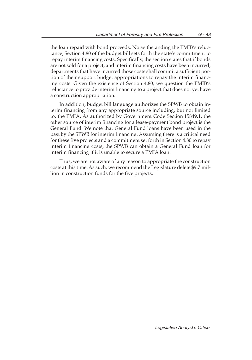the loan repaid with bond proceeds. Notwithstanding the PMIB's reluctance, Section 4.80 of the budget bill sets forth the state's commitment to repay interim financing costs. Specifically, the section states that if bonds are not sold for a project, and interim financing costs have been incurred, departments that have incurred those costs shall commit a sufficient portion of their support budget appropriations to repay the interim financing costs. Given the existence of Section 4.80, we question the PMIB's reluctance to provide interim financing to a project that does not yet have a construction appropriation.

In addition, budget bill language authorizes the SPWB to obtain interim financing from any appropriate source including, but not limited to, the PMIA. As authorized by Government Code Section 15849.1, the other source of interim financing for a lease-payment bond project is the General Fund. We note that General Fund loans have been used in the past by the SPWB for interim financing. Assuming there is a critical need for these five projects and a commitment set forth in Section 4.80 to repay interim financing costs, the SPWB can obtain a General Fund loan for interim financing if it is unable to secure a PMIA loan.

Thus, we are not aware of any reason to appropriate the construction costs at this time. As such, we recommend the Legislature delete \$9.7 million in construction funds for the five projects.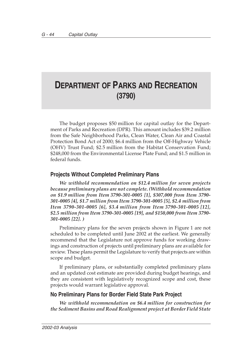# **DEPARTMENT OF PARKS AND RECREATION (3790)**

The budget proposes \$50 million for capital outlay for the Department of Parks and Recreation (DPR). This amount includes \$39.2 million from the Safe Neighborhood Parks, Clean Water, Clean Air and Coastal Protection Bond Act of 2000; \$6.4 million from the Off-Highway Vehicle (OHV) Trust Fund; \$2.5 million from the Habitat Conservation Fund; \$248,000 from the Environmental License Plate Fund; and \$1.5 million in federal funds.

#### **Projects Without Completed Preliminary Plans**

*We withhold recommendation on \$12.4 million for seven projects because preliminary plans are not complete. (Withhold recommendation on \$1.9 million from Item 3790-301-0005 [1], \$307,000 from Item 3790- 301-0005 [4], \$1.7 million from Item 3790-301-0005 [5], \$2.4 million from Item 3790-301-0005 [6], \$3.4 million from Item 3790-301-0005 [12], \$2.5 million from Item 3790-301-0005 [19], and \$150,000 from Item 3790- 301-0005 [22]. )*

Preliminary plans for the seven projects shown in Figure 1 are not scheduled to be completed until June 2002 at the earliest. We generally recommend that the Legislature not approve funds for working drawings and construction of projects until preliminary plans are available for review. These plans permit the Legislature to verify that projects are within scope and budget.

If preliminary plans, or substantially completed preliminary plans and an updated cost estimate are provided during budget hearings, and they are consistent with legislatively recognized scope and cost, these projects would warrant legislative approval.

#### **No Preliminary Plans for Border Field State Park Project**

*We withhold recommendation on \$6.4 million for construction for the Sediment Basins and Road Realignment project at Border Field State*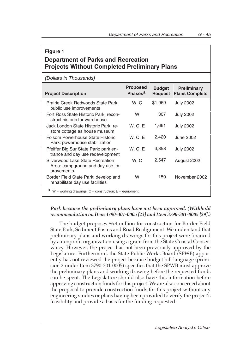#### **Figure 1**

# **Department of Parks and Recreation Projects Without Completed Preliminary Plans**

| <i>Londro III Troudurad</i>                                                        |                                               |               |                                                     |
|------------------------------------------------------------------------------------|-----------------------------------------------|---------------|-----------------------------------------------------|
| <b>Project Description</b>                                                         | <b>Proposed</b><br><b>Phases</b> <sup>a</sup> | <b>Budget</b> | <b>Preliminary</b><br><b>Request Plans Complete</b> |
| Prairie Creek Redwoods State Park:<br>public use improvements                      | W.C                                           | \$1,969       | <b>July 2002</b>                                    |
| Fort Ross State Historic Park: recon-<br>struct historic fur warehouse             | W                                             | 307           | <b>July 2002</b>                                    |
| Jack London State Historic Park: re-<br>store cottage as house museum              | W. C. E                                       | 1,661         | <b>July 2002</b>                                    |
| Folsom Powerhouse State Historic<br>Park: powerhouse stabilization                 | W. C. E                                       | 2,420         | June 2002                                           |
| Pfeiffer Big Sur State Park: park en-<br>trance and day use redevelopment          | W. C. E                                       | 3,358         | <b>July 2002</b>                                    |
| Silverwood Lake State Recreation<br>Area: campground and day use im-<br>provements | W.C                                           | 2,547         | August 2002                                         |
| Border Field State Park: develop and<br>rehabilitate day use facilities            | W                                             | 150           | November 2002                                       |
| а<br>$W =$ working drawings; $C =$ construction; $E =$ equipment.                  |                                               |               |                                                     |

# (Dollars in Thousands)

#### *Park because the preliminary plans have not been approved. (Withhold recommendation on Item 3790-301-0005 [23] and Item 3790-301-0005 [29].)*

The budget proposes \$6.4 million for construction for Border Field State Park, Sediment Basins and Road Realignment. We understand that preliminary plans and working drawings for this project were financed by a nonprofit organization using a grant from the State Coastal Conservancy. However, the project has not been previously approved by the Legislature. Furthermore, the State Public Works Board (SPWB) apparently has not reviewed the project because budget bill language (provision 2 under Item 3790-301-0005) specifies that the SPWB must approve the preliminary plans and working drawing before the requested funds can be spent. The Legislature should also have this information before approving construction funds for this project. We are also concerned about the proposal to provide construction funds for this project without any engineering studies or plans having been provided to verify the project's feasibility and provide a basis for the funding requested.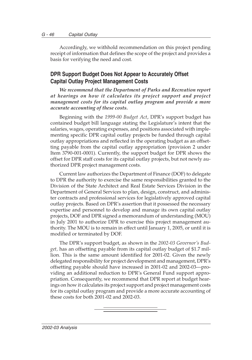Accordingly, we withhold recommendation on this project pending receipt of information that defines the scope of the project and provides a basis for verifying the need and cost.

#### **DPR Support Budget Does Not Appear to Accurately Offset Capital Outlay Project Management Costs**

*We recommend that the Department of Parks and Recreation report at hearings on how it calculates its project support and project management costs for its capital outlay program and provide a more accurate accounting of these costs.*

Beginning with the *1999-00 Budget Act*, DPR's support budget has contained budget bill language stating the Legislature's intent that the salaries, wages, operating expenses, and positions associated with implementing specific DPR capital outlay projects be funded through capital outlay appropriations and reflected in the operating budget as an offsetting payable from the capital outlay appropriation (provision 2 under Item 3790-001-0001). Currently, the support budget for DPR shows the offset for DPR staff costs for its capital outlay projects, but not newly authorized DPR project management costs.

Current law authorizes the Department of Finance (DOF) to delegate to DPR the authority to exercise the same responsibilities granted to the Division of the State Architect and Real Estate Services Division in the Department of General Services to plan, design, construct, and administer contracts and professional services for legislatively approved capital outlay projects. Based on DPR's assertion that it possessed the necessary expertise and personnel to develop and manage its own capital outlay projects, DOF and DPR signed a memorandum of understanding (MOU) in July 2001 to authorize DPR to exercise this project management authority. The MOU is to remain in effect until January 1, 2005, or until it is modified or terminated by DOF.

The DPR's support budget, as shown in the *2002-03 Governor's Budget,* has an offsetting payable from its capital outlay budget of \$1.7 million. This is the same amount identified for 2001-02. Given the newly delegated responsibility for project development and management, DPR's offsetting payable should have increased in 2001-02 and 2002-03—providing an additional reduction to DPR's General Fund support appropriation. Consequently, we recommend that DPR report at budget hearings on how it calculates its project support and project management costs for its capital outlay program and provide a more accurate accounting of these costs for both 2001-02 and 2002-03.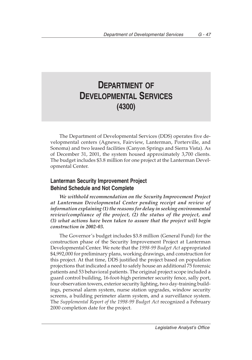# **DEPARTMENT OF DEVELOPMENTAL SERVICES (4300)**

The Department of Developmental Services (DDS) operates five developmental centers (Agnews, Fairview, Lanterman, Porterville, and Sonoma) and two leased facilities (Canyon Springs and Sierra Vista). As of December 31, 2001, the system housed approximately 3,700 clients. The budget includes \$3.8 million for one project at the Lanterman Developmental Center.

## **Lanterman Security Improvement Project Behind Schedule and Not Complete**

*We withhold recommendation on the Security Improvement Project at Lanterman Developmental Center pending receipt and review of information explaining (1) the reasons for delay in seeking environmental review/compliance of the project, (2) the status of the project, and (3) what actions have been taken to assure that the project will begin construction in 2002-03.*

The Governor's budget includes \$3.8 million (General Fund) for the construction phase of the Security Improvement Project at Lanterman Developmental Center. We note that the *1998-99 Budget Act* appropriated \$4,992,000 for preliminary plans, working drawings, and construction for this project. At that time, DDS justified the project based on population projections that indicated a need to safely house an additional 75 forensic patients and 53 behavioral patients. The original project scope included a guard control building, 16-foot-high perimeter security fence, sally port, four observation towers, exterior security lighting, two day-training buildings, personal alarm system, nurse station upgrades, window security screens, a building perimeter alarm system, and a surveillance system. The *Supplemental Report of the 1998-99 Budget Act* recognized a February 2000 completion date for the project.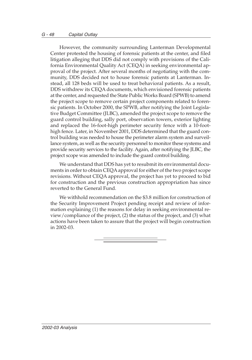However, the community surrounding Lanterman Developmental Center protested the housing of forensic patients at the center, and filed litigation alleging that DDS did not comply with provisions of the California Environmental Quality Act (CEQA) in seeking environmental approval of the project. After several months of negotiating with the community, DDS decided not to house forensic patients at Lanterman. Instead, all 128 beds will be used to treat behavioral patients. As a result, DDS withdrew its CEQA documents, which envisioned forensic patients at the center, and requested the State Public Works Board (SPWB) to amend the project scope to remove certain project components related to forensic patients. In October 2000, the SPWB, after notifying the Joint Legislative Budget Committee (JLBC), amended the project scope to remove the guard control building, sally port, observation towers, exterior lighting and replaced the 16-foot-high perimeter security fence with a 10-foothigh fence. Later, in November 2001, DDS determined that the guard control building was needed to house the perimeter alarm system and surveillance system, as well as the security personnel to monitor these systems and provide security services to the facility. Again, after notifying the JLBC, the project scope was amended to include the guard control building.

We understand that DDS has yet to resubmit its environmental documents in order to obtain CEQA approval for either of the two project scope revisions. Without CEQA approval, the project has yet to proceed to bid for construction and the previous construction appropriation has since reverted to the General Fund.

We withhold recommendation on the \$3.8 million for construction of the Security Improvement Project pending receipt and review of information explaining (1) the reasons for delay in seeking environmental review/compliance of the project, (2) the status of the project, and (3) what actions have been taken to assure that the project will begin construction in 2002-03.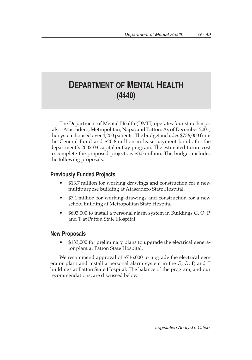# **DEPARTMENT OF MENTAL HEALTH (4440)**

The Department of Mental Health (DMH) operates four state hospitals—Atascadero, Metropolitan, Napa, and Patton. As of December 2001, the system housed over 4,200 patients. The budget includes \$736,000 from the General Fund and \$20.8 million in lease-payment bonds for the department's 2002-03 capital outlay program. The estimated future cost to complete the proposed projects is \$3.5 million. The budget includes the following proposals:

### **Previously Funded Projects**

- \$13.7 million for working drawings and construction for a new multipurpose building at Atascadero State Hospital.
- \$7.1 million for working drawings and construction for a new school building at Metropolitan State Hospital.
- \$603,000 to install a personal alarm system in Buildings G, O, P, and T at Patton State Hospital.

### **New Proposals**

• \$133,000 for preliminary plans to upgrade the electrical generator plant at Patton State Hospital.

We recommend approval of \$736,000 to upgrade the electrical generator plant and install a personal alarm system in the G, O, P, and T buildings at Patton State Hospital. The balance of the program, and our recommendations, are discussed below.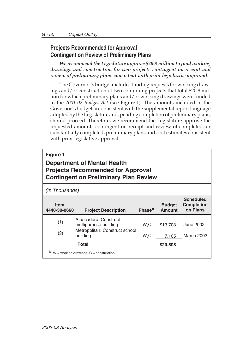## **Projects Recommended for Approval Contingent on Review of Preliminary Plans**

*We recommend the Legislature approve \$20.8 million to fund working drawings and construction for two projects contingent on receipt and review of preliminary plans consistent with prior legislative approval.*

The Governor's budget includes funding requests for working drawings and/or construction of two continuing projects that total \$20.8 million for which preliminary plans and/or working drawings were funded in the *2001-02 Budget Act* (see Figure 1). The amounts included in the Governor's budget are consistent with the supplemental report language adopted by the Legislature and, pending completion of preliminary plans, should proceed. Therefore, we recommend the Legislature approve the requested amounts contingent on receipt and review of completed, or substantially completed, preliminary plans and cost estimates consistent with prior legislative approval.

| Figure 1<br>Department of Mental Health<br><b>Projects Recommended for Approval</b><br><b>Contingent on Preliminary Plan Review</b> |                                                                                              |                          |                         |                                                   |  |
|-------------------------------------------------------------------------------------------------------------------------------------|----------------------------------------------------------------------------------------------|--------------------------|-------------------------|---------------------------------------------------|--|
| (In Thousands)                                                                                                                      |                                                                                              |                          |                         |                                                   |  |
| <b>Item</b><br>4440-30-0660                                                                                                         | <b>Project Description</b>                                                                   | <b>Phase<sup>a</sup></b> | <b>Budget</b><br>Amount | <b>Scheduled</b><br><b>Completion</b><br>on Plans |  |
| (1)<br>(2)                                                                                                                          | Atascadero: Construct<br>multipurpose building<br>Metropolitan: Construct school<br>building | W;C<br>W:C               | \$13.703<br>7,105       | June 2002<br>March 2002                           |  |
| Total<br>\$20,808<br>$W =$ working drawings; $C =$ construction                                                                     |                                                                                              |                          |                         |                                                   |  |
|                                                                                                                                     |                                                                                              |                          |                         |                                                   |  |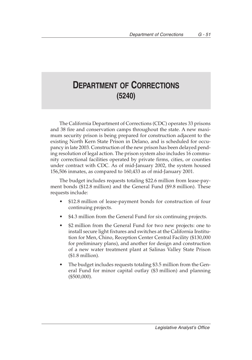# **DEPARTMENT OF CORRECTIONS (5240)**

The California Department of Corrections (CDC) operates 33 prisons and 38 fire and conservation camps throughout the state. A new maximum security prison is being prepared for construction adjacent to the existing North Kern State Prison in Delano, and is scheduled for occupancy in late 2003. Construction of the new prison has been delayed pending resolution of legal action. The prison system also includes 16 community correctional facilities operated by private firms, cities, or counties under contract with CDC. As of mid-January 2002, the system housed 156,506 inmates, as compared to 160,433 as of mid-January 2001.

The budget includes requests totaling \$22.6 million from lease-payment bonds (\$12.8 million) and the General Fund (\$9.8 million). These requests include:

- \$12.8 million of lease-payment bonds for construction of four continuing projects.
- \$4.3 million from the General Fund for six continuing projects.
- \$2 million from the General Fund for two new projects: one to install secure light fixtures and switches at the California Institution for Men, Chino, Reception Center Central Facility (\$130,000 for preliminary plans), and another for design and construction of a new water treatment plant at Salinas Valley State Prison (\$1.8 million).
- The budget includes requests totaling \$3.5 million from the General Fund for minor capital outlay (\$3 million) and planning (\$500,000).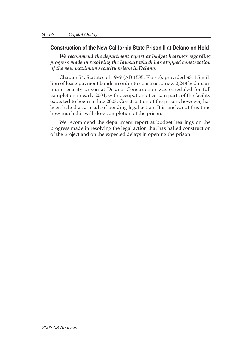#### **Construction of the New California State Prison II at Delano on Hold**

*We recommend the department report at budget hearings regarding progress made in resolving the lawsuit which has stopped construction of the new maximum security prison in Delano.*

Chapter 54, Statutes of 1999 (AB 1535, Florez), provided \$311.5 million of lease-payment bonds in order to construct a new 2,248 bed maximum security prison at Delano. Construction was scheduled for full completion in early 2004, with occupation of certain parts of the facility expected to begin in late 2003. Construction of the prison, however, has been halted as a result of pending legal action. It is unclear at this time how much this will slow completion of the prison.

We recommend the department report at budget hearings on the progress made in resolving the legal action that has halted construction of the project and on the expected delays in opening the prison.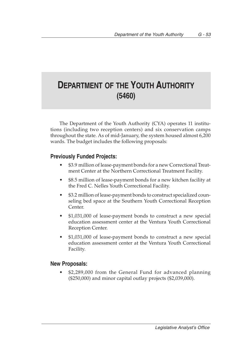# **DEPARTMENT OF THE YOUTH AUTHORITY (5460)**

The Department of the Youth Authority (CYA) operates 11 institutions (including two reception centers) and six conservation camps throughout the state. As of mid-January, the system housed almost 6,200 wards. The budget includes the following proposals:

### **Previously Funded Projects:**

- \$3.9 million of lease-payment bonds for a new Correctional Treatment Center at the Northern Correctional Treatment Facility.
- \$8.5 million of lease-payment bonds for a new kitchen facility at the Fred C. Nelles Youth Correctional Facility.
- \$3.2 million of lease-payment bonds to construct specialized counseling bed space at the Southern Youth Correctional Reception Center.
- \$1,031,000 of lease-payment bonds to construct a new special education assessment center at the Ventura Youth Correctional Reception Center.
- \$1,031,000 of lease-payment bonds to construct a new special education assessment center at the Ventura Youth Correctional Facility.

### **New Proposals:**

• \$2,289,000 from the General Fund for advanced planning (\$250,000) and minor capital outlay projects (\$2,039,000).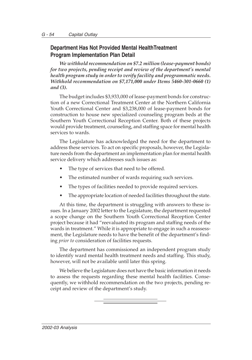### **Department Has Not Provided Mental HealthTreatment Program Implementation Plan Detail**

*We withhold recommendation on \$7.2 million (lease-payment bonds) for two projects, pending receipt and review of the department's mental health program study in order to verify facility and programmatic needs. Withhold recommendation on \$7,171,000 under Items 5460-301-0660 (1) and (3).*

The budget includes \$3,933,000 of lease-payment bonds for construction of a new Correctional Treatment Center at the Northern California Youth Correctional Center and \$3,238,000 of lease-payment bonds for construction to house new specialized counseling program beds at the Southern Youth Correctional Reception Center. Both of these projects would provide treatment, counseling, and staffing space for mental health services to wards.

The Legislature has acknowledged the need for the department to address these services. To act on specific proposals, however, the Legislature needs from the department an implementation plan for mental health service delivery which addresses such issues as:

- The type of services that need to be offered.
- The estimated number of wards requiring such services.
- The types of facilities needed to provide required services.
- The appropriate location of needed facilities throughout the state.

At this time, the department is struggling with answers to these issues. In a January 2002 letter to the Legislature, the department requested a scope change on the Southern Youth Correctional Reception Center project because it had "reevaluated its program and staffing needs of the wards in treatment." While it is appropriate to engage in such a reassessment, the Legislature needs to have the benefit of the department's finding *prior to* consideration of facilities requests.

The department has commissioned an independent program study to identify ward mental health treatment needs and staffing. This study, however, will not be available until later this spring.

We believe the Legislature does not have the basic information it needs to assess the requests regarding these mental health facilities. Consequently, we withhold recommendation on the two projects, pending receipt and review of the department's study.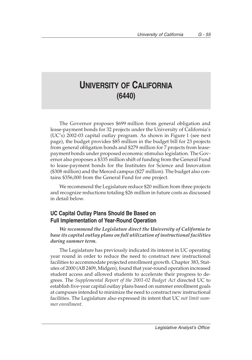# **UNIVERSITY OF CALIFORNIA (6440)**

The Governor proposes \$699 million from general obligation and lease-payment bonds for 32 projects under the University of California's (UC's) 2002-03 capital outlay program. As shown in Figure 1 (see next page), the budget provides \$85 million in the budget bill for 23 projects from general obligation bonds and \$279 million for 7 projects from leasepayment bonds under proposed economic stimulus legislation. The Governor also proposes a \$335 million shift of funding from the General Fund to lease-payment bonds for the Institutes for Science and Innovation (\$308 million) and the Merced campus (\$27 million). The budget also contains \$356,000 from the General Fund for one project.

We recommend the Legislature reduce \$20 million from three projects and recognize reductions totaling \$26 million in future costs as discussed in detail below.

## **UC Capital Outlay Plans Should Be Based on Full Implementation of Year-Round Operation**

*We recommend the Legislature direct the University of California to base its capital outlay plans on full utilization of instructional facilities during summer term.*

The Legislature has previously indicated its interest in UC operating year round in order to reduce the need to construct new instructional facilities to accommodate projected enrollment growth. Chapter 383, Statutes of 2000 (AB 2409, Midgen), found that year-round operation increased student access and allowed students to accelerate their progress to degrees. The *Supplemental Report of the 2001-02 Budget Act* directed UC to establish five-year capital outlay plans based on summer enrollment goals at campuses intended to minimize the need to construct new instructional facilities. The Legislature also expressed its intent that UC *not limit summer enrollment*.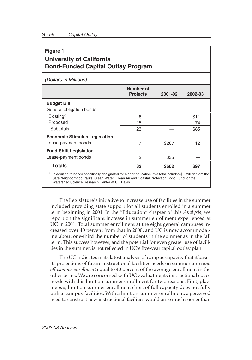#### **Figure 1**

# **University of California Bond-Funded Capital Outlay Program**

| (Dollars in Millions)                                                                                                                                                                                                                                          |                              |         |         |
|----------------------------------------------------------------------------------------------------------------------------------------------------------------------------------------------------------------------------------------------------------------|------------------------------|---------|---------|
|                                                                                                                                                                                                                                                                | Number of<br><b>Projects</b> | 2001-02 | 2002-03 |
| <b>Budget Bill</b>                                                                                                                                                                                                                                             |                              |         |         |
| General obligation bonds                                                                                                                                                                                                                                       |                              |         |         |
| Existing <sup>a</sup>                                                                                                                                                                                                                                          | 8                            |         | \$11    |
| Proposed                                                                                                                                                                                                                                                       | 15                           |         | 74      |
| <b>Subtotals</b>                                                                                                                                                                                                                                               | 23                           |         | \$85    |
| <b>Economic Stimulus Legislation</b>                                                                                                                                                                                                                           |                              |         |         |
| Lease-payment bonds                                                                                                                                                                                                                                            | 7                            | \$267   | 12      |
| <b>Fund Shift Legislation</b>                                                                                                                                                                                                                                  |                              |         |         |
| Lease-payment bonds                                                                                                                                                                                                                                            | 2                            | 335     |         |
| Totals                                                                                                                                                                                                                                                         | 32                           | \$602   | \$97    |
| а<br>In addition to bonds specifically designated for higher education, this total includes \$3 million from the<br>Safe Neighborhood Parks, Clean Water, Clean Air and Coastal Protection Bond Fund for the<br>Watershed Science Research Center at UC Davis. |                              |         |         |

The Legislature's initiative to increase use of facilities in the summer included providing state support for all students enrolled in a summer term beginning in 2001. In the "Education" chapter of this *Analysis,* we report on the significant increase in summer enrollment experienced at UC in 2001. Total summer enrollment at the eight general campuses increased over 40 percent from that in 2000, and UC is now accommodating about one-third the number of students in the summer as in the fall term. This success however, and the potential for even greater use of facilities in the summer, is not reflected in UC's five-year capital outlay plan.

The UC indicates in its latest analysis of campus capacity that it bases its projections of future instructional facilities needs on summer term *and off-campus enrollment* equal to 40 percent of the average enrollment in the other terms. We are concerned with UC evaluating its instructional space needs with this limit on summer enrollment for two reasons. First, placing *any* limit on summer enrollment short of full capacity does not fully utilize campus facilities. With a limit on summer enrollment, a perceived need to construct new instructional facilities would arise much sooner than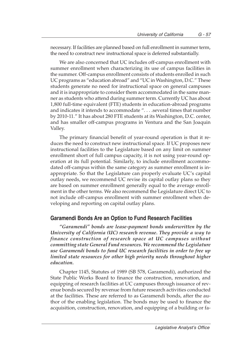necessary. If facilities are planned based on full enrollment in summer term, the need to construct new instructional space is deferred substantially.

We are also concerned that UC includes off-campus enrollment with summer enrollment when characterizing its use of campus facilities in the summer. Off-campus enrollment consists of students enrolled in such UC programs as "education abroad" and "UC in Washington, D.C." These students generate no need for instructional space on general campuses and it is inappropriate to consider them accommodated in the same manner as students who attend during summer term. Currently UC has about 1,800 full-time equivalent (FTE) students in education-abroad programs and indicates it intends to accommodate ". . . .several times that number by 2010-11." It has about 280 FTE students at its Washington, D.C. center, and has smaller off-campus programs in Ventura and the San Joaquin Valley.

The primary financial benefit of year-round operation is that it reduces the need to construct new instructional space. If UC proposes new instructional facilities to the Legislature based on any limit on summer enrollment short of full campus capacity, it is not using year-round operation at its full potential. Similarly, to include enrollment accommodated off-campus within the same category as summer enrollment is inappropriate. So that the Legislature can properly evaluate UC's capital outlay needs, we recommend UC revise its capital outlay plans so they are based on summer enrollment generally equal to the average enrollment in the other terms. We also recommend the Legislature direct UC to not include off-campus enrollment with summer enrollment when developing and reporting on capital outlay plans.

#### **Garamendi Bonds Are an Option to Fund Research Facilities**

*"Garamendi" bonds are lease-payment bonds underwritten by the University of California (UC) research revenue. They provide a way to finance construction of research space at UC campuses without committing state General Fund resources. We recommend the Legislature use Garamendi bonds to fund UC research facilities in order to free up limited state resources for other high priority needs throughout higher education.*

Chapter 1145, Statutes of 1989 (SB 578, Garamendi), authorized the State Public Works Board to finance the construction, renovation, and equipping of research facilities at UC campuses through issuance of revenue bonds secured by revenue from future research activities conducted at the facilities. These are referred to as Garamendi bonds, after the author of the enabling legislation. The bonds may be used to finance the acquisition, construction, renovation, and equipping of a building or fa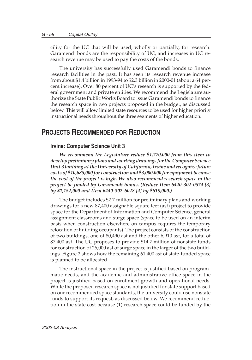cility for the UC that will be used, wholly or partially, for research. Garamendi bonds are the responsibility of UC, and increases in UC research revenue may be used to pay the costs of the bonds.

The university has successfully used Garamendi bonds to finance research facilities in the past. It has seen its research revenue increase from about \$1.4 billion in 1993-94 to \$2.3 billion in 2000-01 (about a 64 percent increase). Over 80 percent of UC's research is supported by the federal government and private entities. We recommend the Legislature authorize the State Public Works Board to issue Garamendi bonds to finance the research space in two projects proposed in the budget, as discussed below. This will allow limited state resources to be used for higher priority instructional needs throughout the three segments of higher education.

# **PROJECTS RECOMMENDED FOR REDUCTION**

#### **Irvine: Computer Science Unit 3**

*We recommend the Legislature reduce \$1,770,000 from this item to develop preliminary plans and working drawings for the Computer Science Unit 3 building at the University of California, Irvine and recognize future costs of \$10,685,000 for construction and \$3,000,000 for equipment because the cost of the project is high. We also recommend research space in the project be funded by Garamendi bonds. (Reduce Item 6440-302-0574 [3] by \$1,152,000 and Item 6440-302-6028 [4] by \$618,000.)*

The budget includes \$2.7 million for preliminary plans and working drawings for a new 87,400 assignable square feet (asf) project to provide space for the Department of Information and Computer Science, general assignment classrooms and surge space (space to be used on an interim basis when construction elsewhere on campus requires the temporary relocation of building occupants). The project consists of the construction of two buildings, one of 80,490 asf and the other 6,910 asf, for a total of 87,400 asf. The UC proposes to provide \$14.7 million of nonstate funds for construction of 26,000 asf of surge space in the larger of the two buildings. Figure 2 shows how the remaining 61,400 asf of state-funded space is planned to be allocated.

The instructional space in the project is justified based on programmatic needs, and the academic and administrative office space in the project is justified based on enrollment growth and operational needs. While the proposed research space is not justified for state support based on our recommended space standards, the university could use nonstate funds to support its request, as discussed below. We recommend reduction in the state cost because (1) research space could be funded by the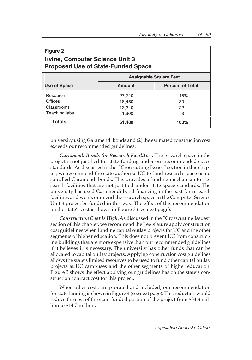| <b>Figure 2</b><br><b>Irvine, Computer Science Unit 3</b><br><b>Proposed Use of State-Funded Space</b> |        |                               |  |
|--------------------------------------------------------------------------------------------------------|--------|-------------------------------|--|
|                                                                                                        |        | <b>Assignable Square Feet</b> |  |
| Use of Space                                                                                           | Amount | <b>Percent of Total</b>       |  |
| <b>Research</b>                                                                                        | 27,710 | 45%                           |  |
| <b>Offices</b>                                                                                         | 18,450 | 30                            |  |
| Classrooms                                                                                             | 13,340 | 22                            |  |
| Teaching labs                                                                                          | 1,900  | 3                             |  |
| <b>Totals</b>                                                                                          | 61,400 | 100%                          |  |

university using Garamendi bonds and (2) the estimated construction cost exceeds our recommended guidelines.

*Garamendi Bonds for Research Facilities.* The research space in the project is not justified for state-funding under our recommended space standards. As discussed in the "Crosscutting Issues" section in this chapter, we recommend the state authorize UC to fund research space using so-called Garamendi bonds. This provides a funding mechanism for research facilities that are not justified under state space standards. The university has used Garamendi bond financing in the past for research facilities and we recommend the research space in the Computer Science Unit 3 project be funded in this way. The effect of this recommendation on the state's cost is shown in Figure 3 (see next page).

*Construction Cost Is High.* As discussed in the "Crosscutting Issues" section of this chapter, we recommend the Legislature apply construction cost guidelines when funding capital outlay projects for UC and the other segments of higher education. This does not prevent UC from constructing buildings that are more expensive than our recommended guidelines if it believes it is necessary. The university has other funds that can be allocated to capital outlay projects. Applying construction cost guidelines allows the state's limited resources to be used to fund other capital outlay projects at UC campuses and the other segments of higher education. Figure 3 shows the effect applying our guidelines has on the state's construction contract cost for this project.

When other costs are prorated and included, our recommendation for state funding is shown in Figure 4 (see next page). This reduction would reduce the cost of the state-funded portion of the project from \$34.8 million to \$14.7 million.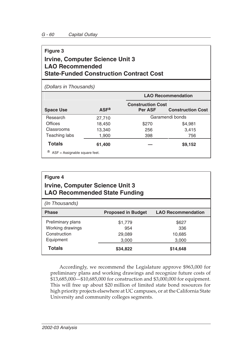#### **Figure 3**

# **Irvine, Computer Science Unit 3 LAO Recommended State-Funded Construction Contract Cost**

| (Dollars in Thousands)          |                        |                                            |                          |  |
|---------------------------------|------------------------|--------------------------------------------|--------------------------|--|
|                                 |                        | <b>LAO Recommendation</b>                  |                          |  |
| <b>Space Use</b>                | <b>ASF<sup>a</sup></b> | <b>Construction Cost</b><br><b>Per ASF</b> | <b>Construction Cost</b> |  |
| Research                        | 27,710                 |                                            | Garamendi bonds          |  |
| <b>Offices</b>                  | 18,450                 | \$270                                      | \$4,981                  |  |
| Classrooms                      | 13,340                 | 256                                        | 3,415                    |  |
| Teaching labs                   | 1,900                  | 398                                        | 756                      |  |
| <b>Totals</b>                   | 61,400                 |                                            | \$9,152                  |  |
| $ASF =$ Assignable square feet. |                        |                                            |                          |  |

| <b>Figure 4</b><br><b>Irvine, Computer Science Unit 3</b><br><b>LAO Recommended State Funding</b> |                           |                           |  |  |
|---------------------------------------------------------------------------------------------------|---------------------------|---------------------------|--|--|
| (In Thousands)                                                                                    |                           |                           |  |  |
| <b>Phase</b>                                                                                      | <b>Proposed in Budget</b> | <b>LAO Recommendation</b> |  |  |
| Preliminary plans                                                                                 | \$1,779                   | \$627                     |  |  |
| Working drawings                                                                                  | 954                       | 336                       |  |  |
| Construction                                                                                      | 29.089                    | 10,685                    |  |  |
| Equipment                                                                                         | 3,000                     | 3,000                     |  |  |
| Totals                                                                                            | \$34,822                  | \$14,648                  |  |  |

Accordingly, we recommend the Legislature approve \$963,000 for preliminary plans and working drawings and recognize future costs of \$13,685,000—\$10,685,000 for construction and \$3,000,000 for equipment. This will free up about \$20 million of limited state bond resources for high priority projects elsewhere at UC campuses, or at the California State University and community colleges segments.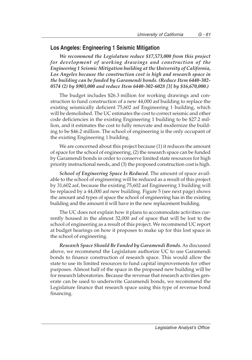#### **Los Angeles: Engineering 1 Seismic Mitigation**

*We recommend the Legislature reduce \$17,573,000 from this project for development of working drawings and construction of the Engineering 1 Seismic Mitigation building at the University of California, Los Angeles because the construction cost is high and research space in the building can be funded by Garamendi bonds. (Reduce Item 6440-302- 0574 (2) by \$903,000 and reduce Item 6440-302-6028 [3] by \$16,670,000.)*

The budget includes \$26.3 million for working drawings and construction to fund construction of a new 44,000 asf building to replace the existing seismically deficient 75,602 asf Engineering 1 building, which will be demolished. The UC estimates the cost to correct seismic and other code deficiencies in the existing Engineering 1 building to be \$27.2 million, and it estimates the cost to fully renovate and modernize the building to be \$46.2 million. The school of engineering is the only occupant of the existing Engineering 1 building.

We are concerned about this project because (1) it reduces the amount of space for the school of engineering, (2) the research space can be funded by Garamendi bonds in order to conserve limited state resources for high priority instructional needs, and (3) the proposed construction cost is high.

*School of Engineering Space Is Reduced.* The amount of space available to the school of engineering will be reduced as a result of this project by 31,602 asf, because the existing 75,602 asf Engineering 1 building will be replaced by a 44,000 asf new building. Figure 5 (see next page) shows the amount and types of space the school of engineering has in the existing building and the amount it will have in the new replacement building.

The UC does not explain how it plans to accommodate activities currently housed in the almost 32,000 asf of space that will be lost to the school of engineering as a result of this project. We recommend UC report at budget hearings on how it proposes to make up for this lost space in the school of engineering.

*Research Space Should Be Funded by Garamendi Bonds.* As discussed above, we recommend the Legislature authorize UC to use Garamendi bonds to finance construction of research space. This would allow the state to use its limited resources to fund capital improvements for other purposes. Almost half of the space in the proposed new building will be for research laboratories. Because the revenue that research activities generate can be used to underwrite Garamendi bonds, we recommend the Legislature finance that research space using this type of revenue bond financing.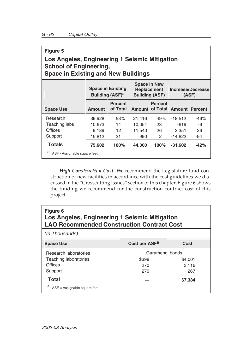#### **Figure 5**

# **Los Angeles, Engineering 1 Seismic Mitigation School of Engineering,**

**Space in Existing and New Buildings** 

|                                    |               | <b>Space in Existing</b><br>Building (ASF) <sup>a</sup> | <b>Space in New</b><br>Replacement<br><b>Building (ASF)</b> |                |                                | <b>Increase/Decrease</b><br>(ASF) |
|------------------------------------|---------------|---------------------------------------------------------|-------------------------------------------------------------|----------------|--------------------------------|-----------------------------------|
| <b>Space Use</b>                   | <b>Amount</b> | <b>Percent</b><br>of Total                              |                                                             | <b>Percent</b> | Amount of Total Amount Percent |                                   |
| <b>Research</b>                    | 39,928        | 53%                                                     | 21.416                                                      | 49%            | $-18,512$                      | $-46%$                            |
| Teaching labs                      | 10,673        | 14                                                      | 10.054                                                      | 23             | $-619$                         | -6                                |
| Offices                            | 9.189         | 12                                                      | 11.540                                                      | 26             | 2.351                          | 26                                |
| Support                            | 15,812        | 21                                                      | 990                                                         | 2              | $-14,822$                      | $-94$                             |
| Totals                             | 75,602        | 100%                                                    | 44,000                                                      | 100%           | $-31,602$                      | $-42%$                            |
| а<br>ASF - Assignable square feet. |               |                                                         |                                                             |                |                                |                                   |

*High Construction Cost*. We recommend the Legislature fund construction of new facilities in accordance with the cost guidelines we discussed in the "Crosscutting Issues" section of this chapter. Figure 6 shows the funding we recommend for the construction contract cost of this project.

| Figure 6<br>Los Angeles, Engineering 1 Seismic Mitigation<br><b>LAO Recommended Construction Contract Cost</b> |                           |         |  |  |
|----------------------------------------------------------------------------------------------------------------|---------------------------|---------|--|--|
| (In Thousands)                                                                                                 |                           |         |  |  |
| <b>Space Use</b>                                                                                               | Cost per ASF <sup>a</sup> | Cost    |  |  |
| Research laboratories                                                                                          | Garamendi bonds           |         |  |  |
| Teaching laboratories                                                                                          | \$398                     | \$4,001 |  |  |
| Offices                                                                                                        | 270                       | 3,116   |  |  |
| Support                                                                                                        | 270                       | 267     |  |  |
| Total                                                                                                          |                           | \$7.384 |  |  |

 $A = ASS$  ASF = Assignable square feet.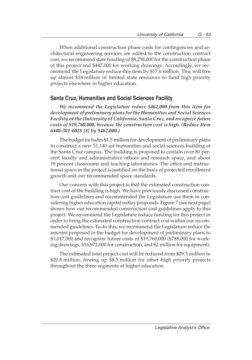When additional construction phase costs for contingencies and architectural engineering services are added to the construction contract cost, we recommend state funding of \$8,258,000 for the construction phase of this project and \$447,000 for working drawings. Accordingly, we recommend the Legislature reduce this item by \$17.6 million. This will free up almost \$18 million of limited state resources to fund high priority projects elsewhere in higher education.

#### **Santa Cruz, Humanities and Social Sciences Facility**

*We recommend the Legislature reduce \$462,000 from this item for development of preliminary plans for the Humanities and Social Sciences Facility at the University of California, Santa Cruz, and recognize future costs of \$19,760,000, because the construction cost is high. (Reduce Item 6440-301-6028 [8] by \$462,000.)*

The budget includes \$1.5 million for development of preliminary plans to construct a new 51,140 asf humanities and social sciences building at the Santa Cruz campus. The building is proposed to contain over 80 percent faculty and administrative offices and research space, and about 19 percent classrooms and teaching laboratories. The office and instructional space in the project is justified on the basis of projected enrollment growth and our recommended space standards.

Our concern with this project is that the estimated construction contract cost of the building is high. We have previously discussed construction cost guidelines and recommended the Legislature use them in considering higher education capital outlay proposals. Figure 7 (see next page) shows how our recommended construction cost guidelines apply to this project. We recommend the Legislature reduce funding for this project in order to bring the estimated construction contract cost within our recommended guidelines. To do this, we recommend the Legislature reduce the amount proposed in the budget for development of preliminary plans to \$1,017,000 and recognize future costs of \$19,760,000 (\$788,000 for working drawings, \$16,972,000 for construction, and \$2 million for equipment).

The estimated total project cost will be reduced from \$29.3 million to \$20.8 million, freeing up \$8.5 million for other high priority projects throughout the three segments of higher education.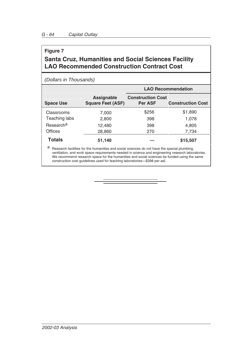#### **Figure 7**

## **Santa Cruz, Humanities and Social Sciences Facility LAO Recommended Construction Contract Cost**

| (Dollars in Thousands)                                                                            |                                        |                                            |                          |
|---------------------------------------------------------------------------------------------------|----------------------------------------|--------------------------------------------|--------------------------|
|                                                                                                   |                                        | <b>LAO Recommendation</b>                  |                          |
| <b>Space Use</b>                                                                                  | Assignable<br><b>Square Feet (ASF)</b> | <b>Construction Cost</b><br><b>Per ASF</b> | <b>Construction Cost</b> |
| Classrooms                                                                                        | 7.000                                  | \$256                                      | \$1,890                  |
| Teaching labs                                                                                     | 2,800                                  | 398                                        | 1,078                    |
| Research <sup>a</sup>                                                                             | 12,480                                 | 398                                        | 4,805                    |
| Offices                                                                                           | 28,860                                 | 270                                        | 7,734                    |
| <b>Totals</b>                                                                                     | 51.140                                 |                                            | \$15,507                 |
| а<br>Research facilities for the humanities and social sciences do not have the special plumbing, |                                        |                                            |                          |

ventilation, and work space requirements needed in science and engineering research laboratories. We recommend research space for the humanities and social sciences be funded using the same construction cost guidelines used for teaching laboratories—\$398 per asf.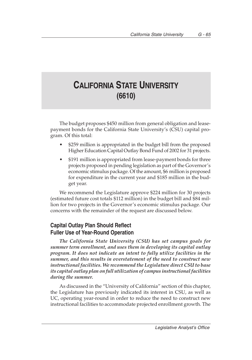# **CALIFORNIA STATE UNIVERSITY (6610)**

The budget proposes \$450 million from general obligation and leasepayment bonds for the California State University's (CSU) capital program. Of this total:

- \$259 million is appropriated in the budget bill from the proposed Higher Education Capital Outlay Bond Fund of 2002 for 31 projects.
- \$191 million is appropriated from lease-payment bonds for three projects proposed in pending legislation as part of the Governor's economic stimulus package. Of the amount, \$6 million is proposed for expenditure in the current year and \$185 million in the budget year.

We recommend the Legislature approve \$224 million for 30 projects (estimated future cost totals \$112 million) in the budget bill and \$84 million for two projects in the Governor's economic stimulus package. Our concerns with the remainder of the request are discussed below.

## **Capital Outlay Plan Should Reflect Fuller Use of Year-Round Operation**

*The California State University (CSU) has set campus goals for summer term enrollment, and uses them in developing its capital outlay program. It does not indicate an intent to fully utilize facilities in the summer, and this results in overstatement of the need to construct new instructional facilities. We recommend the Legislature direct CSU to base its capital outlay plan on full utilization of campus instructional facilities during the summer.*

As discussed in the "University of California" section of this chapter, the Legislature has previously indicated its interest in CSU, as well as UC, operating year-round in order to reduce the need to construct new instructional facilities to accommodate projected enrollment growth. The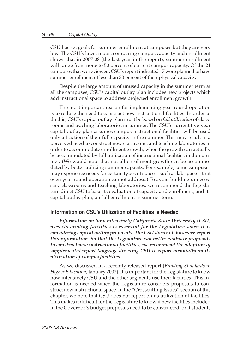CSU has set goals for summer enrollment at campuses but they are very low. The CSU's latest report comparing campus capacity and enrollment shows that in 2007-08 (the last year in the report), summer enrollment will range from none to 50 percent of current campus capacity. Of the 21 campuses that we reviewed, CSU's report indicated 17 were planned to have summer enrollment of less than 30 percent of their physical capacity.

Despite the large amount of unused capacity in the summer term at all the campuses, CSU's capital outlay plan includes new projects which add instructional space to address projected enrollment growth.

The most important reason for implementing year-round operation is to reduce the need to construct new instructional facilities. In order to do this, CSU's capital outlay plan must be based on *full utilization* of classrooms and teaching laboratories in summer. The CSU's current five-year capital outlay plan assumes campus instructional facilities will be used only a fraction of their full capacity in the summer. This may result in a perceived need to construct new classrooms and teaching laboratories in order to accommodate enrollment growth, when the growth can actually be accommodated by full utilization of instructional facilities in the summer. (We would note that not all enrollment growth can be accommodated by better utilizing summer capacity. For example, some campuses may experience needs for certain types of space—such as lab space—that even year-round operation cannot address.) To avoid building unnecessary classrooms and teaching laboratories, we recommend the Legislature direct CSU to base its evaluation of capacity and enrollment, and its capital outlay plan, on full enrollment in summer term.

#### **Information on CSU's Utilization of Facilities Is Needed**

*Information on how intensively California State University (CSU) uses its existing facilities is essential for the Legislature when it is considering capital outlay proposals. The CSU does not, however, report this information. So that the Legislature can better evaluate proposals to construct new instructional facilities, we recommend the adoption of supplemental report language directing CSU to report biennially on its utilization of campus facilities.*

As we discussed in a recently released report (*Building Standards in Higher Education,* January 2002), it is important for the Legislature to know how intensively CSU and the other segments use their facilities. This information is needed when the Legislature considers proposals to construct new instructional space. In the "Crosscutting Issues" section of this chapter, we note that CSU does not report on its utilization of facilities. This makes it difficult for the Legislature to know if new facilities included in the Governor's budget proposals need to be constructed, or if students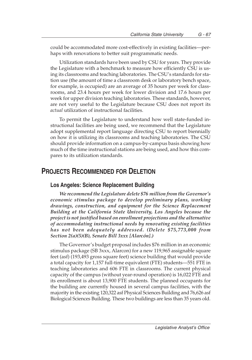could be accommodated more cost-effectively in existing facilities—perhaps with renovations to better suit programmatic needs.

Utilization standards have been used by CSU for years. They provide the Legislature with a benchmark to measure how efficiently CSU is using its classrooms and teaching laboratories. The CSU's standards for station use (the amount of time a classroom desk or laboratory bench space, for example, is occupied) are an average of 35 hours per week for classrooms, and 23.4 hours per week for lower division and 17.6 hours per week for upper division teaching laboratories. These standards, however, are not very useful to the Legislature because CSU does not report its *actual* utilization of instructional facilities.

To permit the Legislature to understand how well state-funded instructional facilities are being used, we recommend that the Legislature adopt supplemental report language directing CSU to report biennially on how it is utilizing its classrooms and teaching laboratories. The CSU should provide information on a campus-by-campus basis showing how much of the time instructional stations are being used, and how this compares to its utilization standards.

## **PROJECTS RECOMMENDED FOR DELETION**

#### **Los Angeles: Science Replacement Building**

*We recommend the Legislature delete \$76 million from the Governor's economic stimulus package to develop preliminary plans, working drawings, construction, and equipment for the Science Replacement Building at the California State University, Los Angeles because the project is not justified based on enrollment projections and the alternative of accommodating instructional needs by renovating existing facilities has not been adequately addressed. (Delete \$75,773,000 from Section 2(a)(5)(B), Senate Bill 3xxx [Alarcón].)*

The Governor's budget proposal includes \$76 million in an economic stimulus package (SB 3xxx, Alarcon) for a new 119,965 assignable square feet (asf) (193,493 gross square feet) science building that would provide a total capacity for 1,157 full-time equivalent (FTE) students—551 FTE in teaching laboratories and 606 FTE in classrooms. The current physical capacity of the campus (without year-round operation) is 16,022 FTE and its enrollment is about 13,900 FTE students. The planned occupants for the building are currently housed in several campus facilities, with the majority in the existing 120,322 asf Physical Sciences Building and 76,626 asf Biological Sciences Building. These two buildings are less than 35 years old.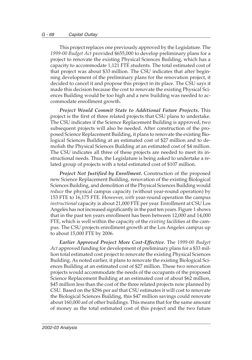This project replaces one previously approved by the Legislature. The *1999-00 Budget Act* provided \$655,000 to develop preliminary plans for a project to renovate the existing Physical Sciences Building, which has a capacity to accommodate 1,121 FTE students. The total estimated cost of that project was about \$33 million. The CSU indicates that after beginning development of the preliminary plans for the renovation project, it decided to cancel it and propose this project in its place. The CSU says it made this decision because the cost to renovate the existing Physical Sciences Building would be too high and a new building was needed to accommodate enrollment growth.

*Project Would Commit State to Additional Future Projects.* This project is the first of three related projects that CSU plans to undertake. The CSU indicates if the Science Replacement Building is approved, two subsequent projects will also be needed. After construction of the proposed Science Replacement Building, it plans to renovate the existing Biological Sciences Building at an estimated cost of \$27 million and to demolish the Physical Sciences Building at an estimated cost of \$4 million. The CSU indicates all three of these projects are needed to meet its instructional needs. Thus, the Legislature is being asked to undertake a related group of projects with a total estimated cost of \$107 million.

*Project Not Justified by Enrollment.* Construction of the proposed new Science Replacement Building, renovation of the existing Biological Sciences Building, and demolition of the Physical Sciences Building would *reduce* the physical campus capacity (without year-round operation) by 153 FTE to 16,175 FTE. However, *with* year-round operation the campus *instructional* capacity is about 21,000 FTE per year. Enrollment at CSU Los Angeles has not increased significantly in the past ten years. Figure 1 shows that in the past ten years enrollment has been between 12,000 and 14,000 FTE, which is well within the capacity of the *existing* facilities at the campus. The CSU projects enrollment growth at the Los Angeles campus up to about 15,000 FTE by 2006.

*Earlier Approved Project More Cost-Effective*. The *1999-00 Budget Act* approved funding for development of preliminary plans for a \$33 million total estimated cost project to renovate the existing Physical Sciences Building. As noted earlier, it plans to renovate the existing Biological Sciences Building at an estimated cost of \$27 million. These two renovation projects would accommodate the needs of the occupants of the proposed Science Replacement Building at an estimated cost of about \$62 million, \$45 million less than the cost of the three related projects now planned by CSU. Based on the \$296 per asf that CSU estimates it will cost to renovate the Biological Sciences Building, this \$47 million savings could renovate about 160,000 asf of other buildings. This means that for the same amount of money as the total estimated cost of this project and the two future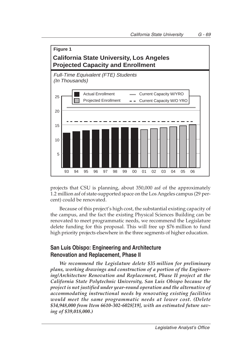

projects that CSU is planning, about 350,000 asf of the approximately 1.2 million asf of state-supported space on the Los Angeles campus (29 percent) could be renovated.

Because of this project's high cost, the substantial existing capacity of the campus, and the fact the existing Physical Sciences Building can be renovated to meet programmatic needs, we recommend the Legislature delete funding for this proposal. This will free up \$76 million to fund high priority projects elsewhere in the three segments of higher education.

### **San Luis Obispo: Engineering and Architecture Renovation and Replacement, Phase II**

*We recommend the Legislature delete \$35 million for preliminary plans, working drawings and construction of a portion of the Engineering/Architecture Renovation and Replacement, Phase II project at the California State Polytechnic University, San Luis Obispo because the project is not justified under year-round operation and the alternative of accommodating instructional needs by renovating existing facilities would meet the same programmatic needs at lower cost. (Delete \$34,948,000 from Item 6610-302-6028[19], with an estimated future saving of \$39,018,000.)*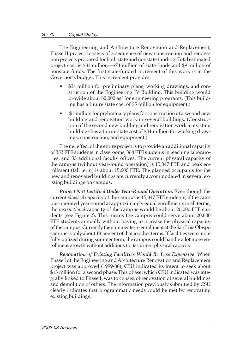The Engineering and Architecture Renovation and Replacement, Phase II project consists of a sequence of new construction and renovation projects proposed for both state and nonstate funding. Total estimated project cost is \$83 million—\$74 million of state funds and \$9 million of nonstate funds. The first state-funded increment of this work is in the Governor's budget. This increment provides:

- \$34 million for preliminary plans, working drawings, and construction of the Engineering IV Building. This building would provide about 82,000 asf for engineering programs. (This building has a future state cost of \$5 million for equipment.)
- \$1 million for preliminary plans for construction of a second new building and renovation work in several buildings. (Construction of the second new building and renovation work at existing buildings has a future state cost of \$34 million for working drawings, construction, and equipment.)

The net effect of the entire project is to provide an additional capacity of 333 FTE students in classrooms, 368 FTE students in teaching laboratories, and 33 additional faculty offices. The current physical capacity of the campus (without year-round operation) is 15,347 FTE and peak enrollment (fall term) is about 15,600 FTE. The planned occupants for the new and renovated buildings are currently accommodated in several existing buildings on campus.

*Project Not Justified Under Year-Round Operation.* Even though the current *physical* capacity of the campus is 15,347 FTE students, if the campus operated year-round at approximately equal enrollments in all terms, the *instructional* capacity of the campus would be about 20,000 FTE students (see Figure 2). This means the campus could serve about 20,000 FTE students annually without having to increase the physical capacity of the campus. Currently the summer term enrollment at the San Luis Obispo campus is only about 18 percent of that in other terms. If facilities were more fully utilized during summer term, the campus could handle a lot more enrollment growth without additions to its current physical capacity.

*Renovation of Existing Facilities Would Be Less Expensive.* When Phase I of the Engineering and Architecture Renovation and Replacement project was approved (1999-00), CSU indicated its intent to seek about \$13 million for a second phase. This phase, which CSU indicated was integrally linked to Phase I, was to consist of renovation of several buildings and demolition of others. The information previously submitted by CSU clearly indicates that programmatic needs could be met by renovating existing buildings.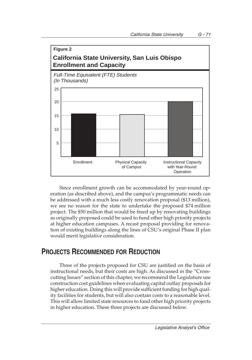

Since enrollment growth can be accommodated by year-round operation (as described above), and the campus's programmatic needs can be addressed with a much less costly renovation proposal (\$13 million), we see no reason for the state to undertake the proposed \$74 million project. The \$50 million that would be freed up by renovating buildings as originally proposed could be used to fund other high priority projects at higher education campuses. A recast proposal providing for renovation of existing buildings along the lines of CSU's original Phase II plan would merit legislative consideration.

# **PROJECTS RECOMMENDED FOR REDUCTION**

Three of the projects proposed for CSU are justified on the basis of instructional needs, but their costs are high. As discussed in the "Crosscutting Issues" section of this chapter, we recommend the Legislature use construction cost guidelines when evaluating capital outlay proposals for higher education. Doing this will provide sufficient funding for high quality facilities for students, but will also contain costs to a reasonable level. This will allow limited state resources to fund other high priority projects in higher education. These three projects are discussed below.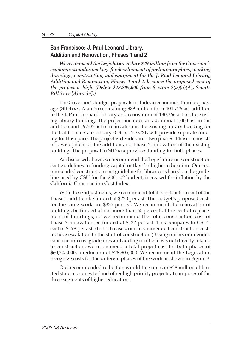### **San Francisco: J. Paul Leonard Library, Addition and Renovation, Phases 1 and 2**

*We recommend the Legislature reduce \$29 million from the Governor's economic stimulus package for development of preliminary plans, working drawings, construction, and equipment for the J. Paul Leonard Library, Addition and Renovation, Phases 1 and 2, because the proposed cost of the project is high. (Delete \$28,805,000 from Section 2(a)(5)(A), Senate Bill 3xxx [Alarcón].)*

The Governor's budget proposals include an economic stimulus package (SB 3xxx, Alarcón) containing \$89 million for a 101,726 asf addition to the J. Paul Leonard Library and renovation of 180,366 asf of the existing library building. The project includes an additional 1,000 asf in the addition and 19,505 asf of renovation in the existing library building for the California State Library (CSL). The CSL will provide separate funding for this space. The project is divided into two phases. Phase 1 consists of development of the addition and Phase 2 renovation of the existing building. The proposal in SB 3xxx provides funding for both phases.

As discussed above, we recommend the Legislature use construction cost guidelines in funding capital outlay for higher education. Our recommended construction cost guideline for libraries is based on the guideline used by CSU for the 2001-02 budget, increased for inflation by the California Construction Cost Index.

With these adjustments, we recommend total construction cost of the Phase 1 addition be funded at \$220 per asf. The budget's proposed costs for the same work are \$335 per asf. We recommend the renovation of buildings be funded at not more than 60 percent of the cost of replacement of buildings, so we recommend the total construction cost of Phase 2 renovation be funded at \$132 per asf. This compares to CSU's cost of \$198 per asf. (In both cases, our recommended construction costs include escalation to the start of construction.) Using our recommended construction cost guidelines and adding in other costs not directly related to construction, we recommend a total project cost for both phases of \$60,205,000, a reduction of \$28,805,000. We recommend the Legislature recognize costs for the different phases of the work as shown in Figure 3.

Our recommended reduction would free up over \$28 million of limited state resources to fund other high priority projects at campuses of the three segments of higher education.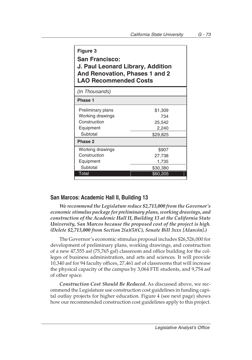| <b>Figure 3</b><br><b>San Francisco:</b><br>J. Paul Leonard Library, Addition<br>And Renovation, Phases 1 and 2<br><b>LAO Recommended Costs</b> |                                               |  |
|-------------------------------------------------------------------------------------------------------------------------------------------------|-----------------------------------------------|--|
| (In Thousands)                                                                                                                                  |                                               |  |
| <b>Phase 1</b>                                                                                                                                  |                                               |  |
| Preliminary plans<br>Working drawings<br>Construction<br>Equipment<br>Subtotal                                                                  | \$1,309<br>734<br>25,542<br>2,240<br>\$29,825 |  |
| Phase 2                                                                                                                                         |                                               |  |
| Working drawings<br>Construction<br>Equipment<br>Subtotal                                                                                       | \$907<br>27,738<br>1,735<br>\$30,380          |  |
| Total                                                                                                                                           | \$60,205                                      |  |

#### **San Marcos: Academic Hall II, Building 13**

*We recommend the Legislature reduce \$2,713,000 from the Governor's economic stimulus package for preliminary plans, working drawings, and construction of the Academic Hall II, Building 13 at the California State University, San Marcos because the proposed cost of the project is high. (Delete \$2,713,000 from Section 2(a)(5)(C), Senate Bill 3xxx [Alarcón].)*

The Governor's economic stimulus proposal includes \$26,526,000 for development of preliminary plans, working drawings, and construction of a new 47,555 asf (75,765 gsf) classroom and office building for the colleges of business administration, and arts and sciences. It will provide 10,340 asf for 94 faculty offices, 27,461 asf of classrooms that will increase the physical capacity of the campus by 3,064 FTE students, and 9,754 asf of other space.

*Construction Cost Should Be Reduced.* As discussed above, we recommend the Legislature use construction cost guidelines in funding capital outlay projects for higher education. Figure 4 (see next page) shows how our recommended construction cost guidelines apply to this project.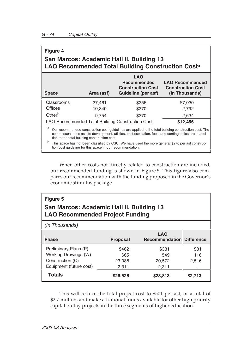#### **Figure 4**

## **San Marcos: Academic Hall II, Building 13 LAO Recommended Total Building Construction Costa**

| <b>Space</b>                                                                                               | Area (asf) | <b>LAO</b><br><b>Recommended</b><br><b>Construction Cost</b><br>Guideline (per asf) | <b>LAO Recommended</b><br><b>Construction Cost</b><br>(In Thousands) |
|------------------------------------------------------------------------------------------------------------|------------|-------------------------------------------------------------------------------------|----------------------------------------------------------------------|
| Classrooms                                                                                                 | 27,461     | \$256                                                                               | \$7,030                                                              |
| <b>Offices</b>                                                                                             | 10.340     | \$270                                                                               | 2,792                                                                |
| Other <sup>b</sup>                                                                                         | 9.754      | \$270                                                                               | 2,634                                                                |
| LAO Recommended Total Building Construction Cost                                                           |            |                                                                                     | \$12,456                                                             |
| а<br>Our recommended construction cost guidelines are applied to the total building construction cost. The |            |                                                                                     |                                                                      |

cost of such items as site development, utilities, cost escalation, fees, and contingencies are in addition to the total building construction cost.

b This space has not been classified by CSU. We have used the more general \$270 per asf construction cost guideline for this space in our recommendation.

When other costs not directly related to construction are included, our recommended funding is shown in Figure 5. This figure also compares our recommendation with the funding proposed in the Governor's economic stimulus package.

#### **Figure 5**

## **San Marcos: Academic Hall II, Building 13 LAO Recommended Project Funding**

| (In Thousands)          |                 |                                                |         |
|-------------------------|-----------------|------------------------------------------------|---------|
| <b>Phase</b>            | <b>Proposal</b> | <b>LAO</b><br><b>Recommendation Difference</b> |         |
| Preliminary Plans (P)   | \$462           | \$381                                          | \$81    |
| Working Drawings (W)    | 665             | 549                                            | 116     |
| Construction (C)        | 23,088          | 20,572                                         | 2,516   |
| Equipment (future cost) | 2,311           | 2,311                                          |         |
| Totals                  | \$26,526        | \$23,813                                       | \$2,713 |

This will reduce the total project cost to \$501 per asf, or a total of \$2.7 million, and make additional funds available for other high priority capital outlay projects in the three segments of higher education.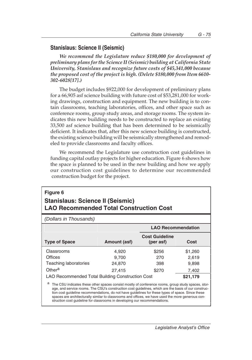#### **Stanislaus: Science II (Seismic)**

*We recommend the Legislature reduce \$180,000 for development of preliminary plans for the Science II (Seismic) building at California State University, Stanislaus and recognize future costs of \$45,341,000 because the proposed cost of the project is high. (Delete \$180,000 from Item 6610- 302-6028[17].)*

The budget includes \$922,000 for development of preliminary plans for a 66,905 asf science building with future cost of \$53,281,000 for working drawings, construction and equipment. The new building is to contain classrooms, teaching laboratories, offices, and other space such as conference rooms, group study areas, and storage rooms. The system indicates this new building needs to be constructed to replace an existing 33,500 asf science building that has been determined to be seismically deficient. It indicates that, after this new science building is constructed, the existing science building will be seismically strengthened and remodeled to provide classrooms and faculty offices.

We recommend the Legislature use construction cost guidelines in funding capital outlay projects for higher education. Figure 6 shows how the space is planned to be used in the new building and how we apply our construction cost guidelines to determine our recommended construction budget for the project.

| Figure 6<br><b>Stanislaus: Science II (Seismic)</b>                 |              |                                    |         |
|---------------------------------------------------------------------|--------------|------------------------------------|---------|
| <b>LAO Recommended Total Construction Cost</b>                      |              |                                    |         |
| (Dollars in Thousands)                                              |              |                                    |         |
|                                                                     |              | <b>LAO Recommendation</b>          |         |
| <b>Type of Space</b>                                                | Amount (asf) | <b>Cost Guideline</b><br>(per asf) | Cost    |
| Classrooms                                                          | 4,920        | \$256                              | \$1,260 |
| <b>Offices</b>                                                      | 9,700        | 270                                | 2,619   |
| Teaching laboratories                                               | 24,870       | 398                                | 9,898   |
| Other <sup>a</sup>                                                  | 27,415       | \$270                              | 7,402   |
| <b>LAO Recommended Total Building Construction Cost</b><br>\$21,179 |              |                                    |         |
|                                                                     |              |                                    |         |

age, and service rooms. The CSU's construction cost guidelines, which are the basis of our construction cost guideline recommendations, do not have guidelines for these types of space. Since these spaces are architecturally similar to classrooms and offices, we have used the more generous construction cost guideline for classrooms in developing our recommendations.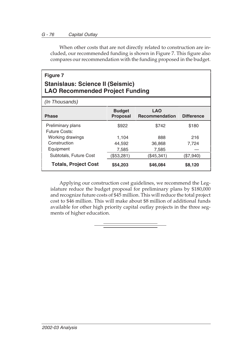When other costs that are not directly related to construction are included, our recommended funding is shown in Figure 7. This figure also compares our recommendation with the funding proposed in the budget.

| <b>Figure 7</b>                         |  |
|-----------------------------------------|--|
| <b>Stanislaus: Science II (Seismic)</b> |  |
| <b>LAO Recommended Project Funding</b>  |  |

| (In Thousands)              |                                  |                                     |                   |
|-----------------------------|----------------------------------|-------------------------------------|-------------------|
| <b>Phase</b>                | <b>Budget</b><br><b>Proposal</b> | <b>LAO</b><br><b>Recommendation</b> | <b>Difference</b> |
| Preliminary plans           | \$922                            | \$742                               | \$180             |
| Future Costs:               |                                  |                                     |                   |
| Working drawings            | 1.104                            | 888                                 | 216               |
| Construction                | 44,592                           | 36,868                              | 7,724             |
| Equipment                   | 7,585                            | 7,585                               |                   |
| Subtotals, Future Cost      | (\$53,281)                       | (\$45,341)                          | (\$7,940)         |
| <b>Totals, Project Cost</b> | \$54,203                         | \$46,084                            | \$8,120           |

Applying our construction cost guidelines, we recommend the Legislature reduce the budget proposal for preliminary plans by \$180,000 and recognize future costs of \$45 million. This will reduce the total project cost to \$46 million. This will make about \$8 million of additional funds available for other high priority capital outlay projects in the three segments of higher education.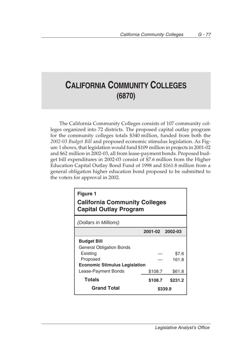# **CALIFORNIA COMMUNITY COLLEGES (6870)**

The California Community Colleges consists of 107 community colleges organized into 72 districts. The proposed capital outlay program for the community colleges totals \$340 million, funded from both the *2002-03 Budget Bill* and proposed economic stimulus legislation. As Figure 1 shows, that legislation would fund \$109 million in projects in 2001-02 and \$62 million in 2002-03, all from lease-payment bonds. Proposed budget bill expenditures in 2002-03 consist of \$7.6 million from the Higher Education Capital Outlay Bond Fund of 1998 and \$161.8 million from a general obligation higher education bond proposed to be submitted to the voters for approval in 2002.

| Figure 1<br><b>California Community Colleges</b><br><b>Capital Outlay Program</b> |                 |         |  |
|-----------------------------------------------------------------------------------|-----------------|---------|--|
| (Dollars in Millions)                                                             |                 |         |  |
|                                                                                   | 2001-02 2002-03 |         |  |
| <b>Budget Bill</b>                                                                |                 |         |  |
| <b>General Obligation Bonds</b>                                                   |                 |         |  |
| Existing                                                                          |                 | \$7.6   |  |
| Proposed                                                                          |                 | 161.8   |  |
| <b>Economic Stimulus Legislation</b>                                              |                 |         |  |
| Lease-Payment Bonds                                                               | \$108.7         | \$61.8  |  |
| <b>Totals</b>                                                                     | \$108.7         | \$231.2 |  |
| <b>Grand Total</b>                                                                |                 | \$339.9 |  |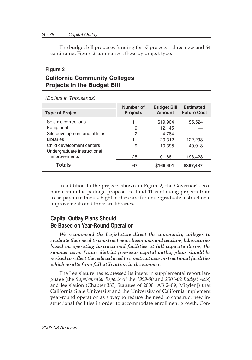The budget bill proposes funding for 67 projects—three new and 64 continuing. Figure 2 summarizes these by project type.

| <b>Figure 2</b><br><b>California Community Colleges</b><br><b>Projects in the Budget Bill</b>                |                              |                                                 |                                        |
|--------------------------------------------------------------------------------------------------------------|------------------------------|-------------------------------------------------|----------------------------------------|
| (Dollars in Thousands)                                                                                       |                              |                                                 |                                        |
| <b>Type of Project</b>                                                                                       | Number of<br><b>Projects</b> | <b>Budget Bill</b><br><b>Amount</b>             | <b>Estimated</b><br><b>Future Cost</b> |
| Seismic corrections<br>Equipment<br>Site development and utilities<br>Libraries<br>Child development centers | 11<br>9<br>2<br>11<br>9      | \$19,904<br>12,145<br>4,764<br>20,312<br>10,395 | \$5,524<br>122,293<br>40,913           |
| Undergraduate instructional<br>improvements<br>Totals                                                        | 25<br>67                     | 101,881<br>\$169,401                            | 198,428<br>\$367,437                   |

In addition to the projects shown in Figure 2, the Governor's economic stimulus package proposes to fund 11 continuing projects from lease-payment bonds. Eight of these are for undergraduate instructional improvements and three are libraries.

### **Capital Outlay Plans Should Be Based on Year-Round Operation**

*We recommend the Legislature direct the community colleges to evaluate their need to construct new classrooms and teaching laboratories based on operating instructional facilities at full capacity during the summer term. Future district five-year capital outlay plans should be revised to reflect the reduced need to construct new instructional facilities which results from full utilization in the summer.*

The Legislature has expressed its intent in supplemental report language (the *Supplemental Reports* of the *1999-00* and *2001-02 Budget Acts*) and legislation (Chapter 383, Statutes of 2000 [AB 2409, Migden]) that California State University and the University of California implement year-round operation as a way to reduce the need to construct new instructional facilities in order to accommodate enrollment growth. Con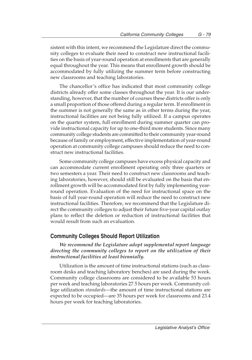sistent with this intent, we recommend the Legislature direct the community colleges to evaluate their need to construct new instructional facilities on the basis of year-round operation at enrollments that are generally equal throughout the year. This means that enrollment growth should be accommodated by fully utilizing the summer term before constructing new classrooms and teaching laboratories.

The chancellor's office has indicated that most community college districts already offer some classes throughout the year. It is our understanding, however, that the number of courses these districts offer is only a small proportion of those offered during a regular term. If enrollment in the summer is not generally the same as in other terms during the year, instructional facilities are not being fully utilized. If a campus operates on the quarter system, full enrollment during summer quarter can provide instructional capacity for up to one-third more students. Since many community college students are committed to their community year-round because of family or employment, effective implementation of year-round operation at community college campuses should reduce the need to construct new instructional facilities.

Some community college campuses have excess physical capacity and can accommodate current enrollment operating only three quarters or two semesters a year. Their need to construct new classrooms and teaching laboratories, however, should still be evaluated on the basis that enrollment growth will be accommodated first by fully implementing yearround operation. Evaluation of the need for instructional space on the basis of full year-round operation will reduce the need to construct new instructional facilities. Therefore, we recommend that the Legislature direct the community colleges to adjust their future five-year capital outlay plans to reflect the deletion or reduction of instructional facilities that would result from such an evaluation.

#### **Community Colleges Should Report Utilization**

#### *We recommend the Legislature adopt supplemental report language directing the community colleges to report on the utilization of their instructional facilities at least biennially.*

Utilization is the amount of time instructional stations (such as classroom desks and teaching laboratory benches) are used during the week. Community college classrooms are considered to be available 53 hours per week and teaching laboratories 27.5 hours per week. Community college utilization *standards*—the amount of time instructional stations are expected to be occupied—are 35 hours per week for classrooms and 23.4 hours per week for teaching laboratories.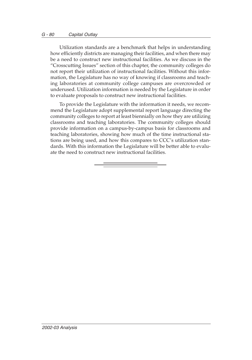Utilization standards are a benchmark that helps in understanding how efficiently districts are managing their facilities, and when there may be a need to construct new instructional facilities. As we discuss in the "Crosscutting Issues" section of this chapter, the community colleges do not report their utilization of instructional facilities. Without this information, the Legislature has no way of knowing if classrooms and teaching laboratories at community college campuses are overcrowded or underused. Utilization information is needed by the Legislature in order to evaluate proposals to construct new instructional facilities.

To provide the Legislature with the information it needs, we recommend the Legislature adopt supplemental report language directing the community colleges to report at least biennially on how they are utilizing classrooms and teaching laboratories. The community colleges should provide information on a campus-by-campus basis for classrooms and teaching laboratories, showing how much of the time instructional stations are being used, and how this compares to CCC's utilization standards. With this information the Legislature will be better able to evaluate the need to construct new instructional facilities.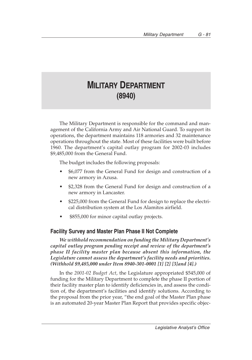# **MILITARY DEPARTMENT (8940)**

The Military Department is responsible for the command and management of the California Army and Air National Guard. To support its operations, the department maintains 118 armories and 32 maintenance operations throughout the state. Most of these facilities were built before 1960. The department's capital outlay program for 2002-03 includes \$9,485,000 from the General Fund.

The budget includes the following proposals:

- \$6,077 from the General Fund for design and construction of a new armory in Azusa.
- \$2,328 from the General Fund for design and construction of a new armory in Lancaster.
- \$225,000 from the General Fund for design to replace the electrical distribution system at the Los Alamitos airfield.
- \$855,000 for minor capital outlay projects.

#### **Facility Survey and Master Plan Phase II Not Complete**

*We withhold recommendation on funding the Military Department's capital outlay program pending receipt and review of the department's phase II facility master plan because absent this information, the Legislature cannot assess the department's facility needs and priorities. (Withhold \$9,485,000 under Item 8940-301-0001 [1] [2] [3]and [4].)*

In the *2001-02 Budget Act*, the Legislature appropriated \$545,000 of funding for the Military Department to complete the phase II portion of their facility master plan to identify deficiencies in, and assess the condition of, the department's facilities and identify solutions. According to the proposal from the prior year, "the end goal of the Master Plan phase is an automated 20-year Master Plan Report that provides specific objec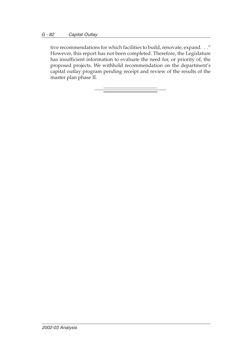tive recommendations for which facilities to build, renovate, expand. . ." However, this report has not been completed. Therefore, the Legislature has insufficient information to evaluate the need for, or priority of, the proposed projects. We withhold recommendation on the department's capital outlay program pending receipt and review of the results of the master plan phase II.

2002-03 Analysis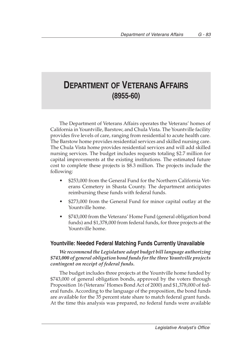# **DEPARTMENT OF VETERANS AFFAIRS (8955-60)**

The Department of Veterans Affairs operates the Veterans' homes of California in Yountville, Barstow, and Chula Vista. The Yountville facility provides five levels of care, ranging from residential to acute health care. The Barstow home provides residential services and skilled nursing care. The Chula Vista home provides residential services and will add skilled nursing services. The budget includes requests totaling \$2.7 million for capital improvements at the existing institutions. The estimated future cost to complete these projects is \$8.3 million. The projects include the following:

- \$253,000 from the General Fund for the Northern California Veterans Cemetery in Shasta County. The department anticipates reimbursing these funds with federal funds.
- \$273,000 from the General Fund for minor capital outlay at the Yountville home.
- \$743,000 from the Veterans' Home Fund (general obligation bond funds) and \$1,378,000 from federal funds, for three projects at the Yountville home.

#### **Yountville: Needed Federal Matching Funds Currently Unavailable**

*We recommend the Legislature adopt budget bill language authorizing \$743,000 of general obligation bond funds for the three Yountville projects contingent on receipt of federal funds.*

The budget includes three projects at the Yountville home funded by \$743,000 of general obligation bonds, approved by the voters through Proposition 16 (Veterans' Homes Bond Act of 2000) and \$1,378,000 of federal funds. According to the language of the proposition, the bond funds are available for the 35 percent state share to match federal grant funds. At the time this analysis was prepared, no federal funds were available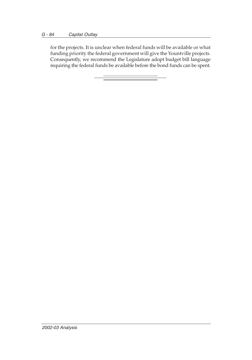for the projects. It is unclear when federal funds will be available or what funding priority the federal government will give the Yountville projects. Consequently, we recommend the Legislature adopt budget bill language requiring the federal funds be available before the bond funds can be spent.

the control of the control of the control of the control of the control of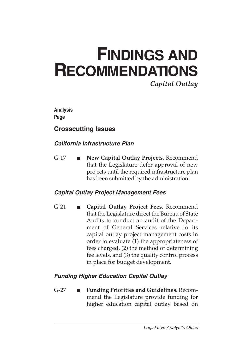# **FINDINGS AND RECOMMENDATIONS** *Capital Outlay*

**Analysis Page**

## **Crosscutting Issues**

## **California Infrastructure Plan**

G-17 ■ **New Capital Outlay Projects.** Recommend that the Legislature defer approval of new projects until the required infrastructure plan has been submitted by the administration.

## **Capital Outlay Project Management Fees**

G-21 ■ **Capital Outlay Project Fees.** Recommend that the Legislature direct the Bureau of State Audits to conduct an audit of the Department of General Services relative to its capital outlay project management costs in order to evaluate (1) the appropriateness of fees charged, (2) the method of determining fee levels, and (3) the quality control process in place for budget development.

## **Funding Higher Education Capital Outlay**

G-27 ■ **Funding Priorities and Guidelines.** Recommend the Legislature provide funding for higher education capital outlay based on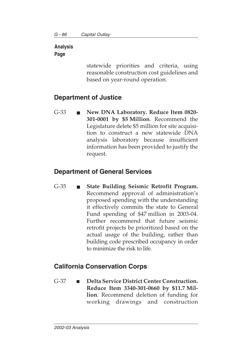statewide priorities and criteria, using reasonable construction cost guidelines and based on year-round operation.

## **Department of Justice**

G-33 ■ **New DNA Laboratory. Reduce Item 0820- 301-0001 by \$5 Million**. Recommend the Legislature delete \$5 million for site acquisition to construct a new statewide DNA analysis laboratory because insufficient information has been provided to justify the request.

## **Department of General Services**

G-35 ■ **State Building Seismic Retrofit Program.** Recommend approval of administration's proposed spending with the understanding it effectively commits the state to General Fund spending of \$47 million in 2003-04. Further recommend that future seismic retrofit projects be prioritized based on the actual usage of the building, rather than building code prescribed occupancy in order to minimize the risk to life.

## **California Conservation Corps**

G-37 **Delta Service District Center Construction. Reduce Item 3340-301-0660 by \$11.7 Million**. Recommend deletion of funding for working drawings and construction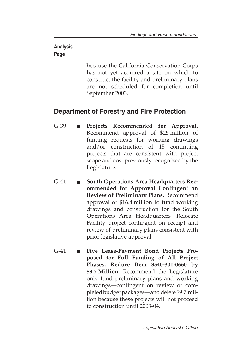because the California Conservation Corps has not yet acquired a site on which to construct the facility and preliminary plans are not scheduled for completion until September 2003.

## **Department of Forestry and Fire Protection**

- G-39 **Projects Recommended for Approval.** Recommend approval of \$25 million of funding requests for working drawings and/or construction of 15 continuing projects that are consistent with project scope and cost previously recognized by the Legislature.
- G-41 **South Operations Area Headquarters Recommended for Approval Contingent on Review of Preliminary Plans.** Recommend approval of \$16.4 million to fund working drawings and construction for the South Operations Area Headquarters—Relocate Facility project contingent on receipt and review of preliminary plans consistent with prior legislative approval.
- G-41 **Five Lease-Payment Bond Projects Proposed for Full Funding of All Project Phases. Reduce Item 3540-301-0660 by \$9.7 Million.** Recommend the Legislature only fund preliminary plans and working drawings—contingent on review of completed budget packages—and delete \$9.7 million because these projects will not proceed to construction until 2003-04.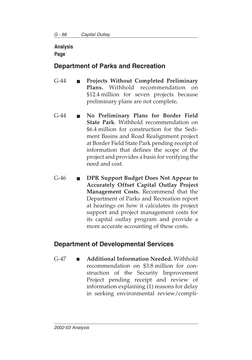## **Department of Parks and Recreation**

- G-44 **Projects Without Completed Preliminary Plans.** Withhold recommendation on \$12.4 million for seven projects because preliminary plans are not complete*.*
- G-44 **No Preliminary Plans for Border Field State Park**. Withhold recommendation on \$6.4 million for construction for the Sediment Basins and Road Realignment project at Border Field State Park pending receipt of information that defines the scope of the project and provides a basis for verifying the need and cost.
- G-46 **DPR Support Budget Does Not Appear to Accurately Offset Capital Outlay Project Management Costs.** Recommend that the Department of Parks and Recreation report at hearings on how it calculates its project support and project management costs for its capital outlay program and provide a more accurate accounting of these costs.

## **Department of Developmental Services**

G-47 **Additional Information Needed.** Withhold recommendation on \$3.8 million for construction of the Security Improvement Project pending receipt and review of information explaining (1) reasons for delay in seeking environmental review/compli-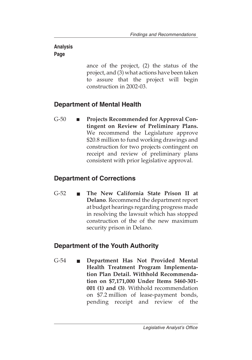ance of the project, (2) the status of the project, and (3) what actions have been taken to assure that the project will begin construction in 2002-03.

## **Department of Mental Health**

G-50 **Projects Recommended for Approval Contingent on Review of Preliminary Plans.** We recommend the Legislature approve \$20.8 million to fund working drawings and construction for two projects contingent on receipt and review of preliminary plans consistent with prior legislative approval.

# **Department of Corrections**

G-52 ■ **The New California State Prison II at Delano**. Recommend the department report at budget hearings regarding progress made in resolving the lawsuit which has stopped construction of the of the new maximum security prison in Delano.

# **Department of the Youth Authority**

G-54 ■ **Department Has Not Provided Mental Health Treatment Program Implementation Plan Detail. Withhold Recommendation on \$7,171,000 Under Items 5460-301- 001 (1) and (3)**. Withhold recommendation on \$7.2 million of lease-payment bonds, pending receipt and review of the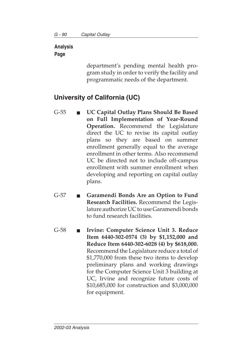department's pending mental health program study in order to verify the facility and programmatic needs of the department.

## **University of California (UC)**

- G-55 **UC Capital Outlay Plans Should Be Based on Full Implementation of Year-Round Operation.** Recommend the Legislature direct the UC to revise its capital outlay plans so they are based on summer enrollment generally equal to the average enrollment in other terms. Also recommend UC be directed not to include off-campus enrollment with summer enrollment when developing and reporting on capital outlay plans.
- G-57 **Garamendi Bonds Are an Option to Fund Research Facilities.** Recommend the Legislature authorize UC to use Garamendi bonds to fund research facilities.
- G-58 **Irvine: Computer Science Unit 3. Reduce Item 6440-302-0574 (3) by \$1,152,000 and Reduce Item 6440-302-6028 (4) by \$618,000.** Recommend the Legislature reduce a total of \$1,770,000 from these two items to develop preliminary plans and working drawings for the Computer Science Unit 3 building at UC, Irvine and recognize future costs of \$10,685,000 for construction and \$3,000,000 for equipment.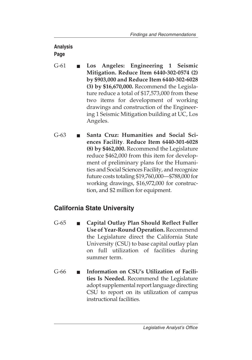- G-61 **Los Angeles: Engineering 1 Seismic Mitigation. Reduce Item 6440-302-0574 (2) by \$903,000 and Reduce Item 6440-302-6028 (3) by \$16,670,000.** Recommend the Legislature reduce a total of \$17,573,000 from these two items for development of working drawings and construction of the Engineering 1 Seismic Mitigation building at UC, Los Angeles.
- G-63 **Santa Cruz: Humanities and Social Sciences Facility**. **Reduce Item 6440-301-6028 (8) by \$462,000.** Recommend the Legislature reduce \$462,000 from this item for development of preliminary plans for the Humanities and Social Sciences Facility, and recognize future costs totaling \$19,760,000—\$788,000 for working drawings, \$16,972,000 for construction, and \$2 million for equipment.

# **California State University**

- G-65 **Capital Outlay Plan Should Reflect Fuller Use of Year-Round Operation.** Recommend the Legislature direct the California State University (CSU) to base capital outlay plan on full utilization of facilities during summer term.
- G-66 **Information on CSU's Utilization of Facilities Is Needed.** Recommend the Legislature adopt supplemental report language directing CSU to report on its utilization of campus instructional facilities.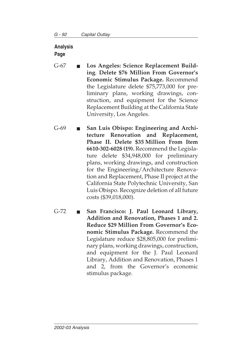- G-67 **Los Angeles: Science Replacement Building**. **Delete \$76 Million From Governor's Economic Stimulus Package.** Recommend the Legislature delete \$75,773,000 for preliminary plans, working drawings, construction, and equipment for the Science Replacement Building at the California State University, Los Angeles.
- G-69 **San Luis Obispo: Engineering and Architecture Renovation and Replacement, Phase II. Delete \$35 Million From Item 6610-302-6028 (19).** Recommend the Legislature delete \$34,948,000 for preliminary plans, working drawings, and construction for the Engineering/Architecture Renovation and Replacement, Phase II project at the California State Polytechnic University, San Luis Obispo. Recognize deletion of all future costs (\$39,018,000).
- G-72 **San Francisco: J. Paul Leonard Library, Addition and Renovation, Phases 1 and 2. Reduce \$29 Million From Governor's Economic Stimulus Package.** Recommend the Legislature reduce \$28,805,000 for preliminary plans, working drawings, construction, and equipment for the J. Paul Leonard Library, Addition and Renovation, Phases 1 and 2, from the Governor's economic stimulus package.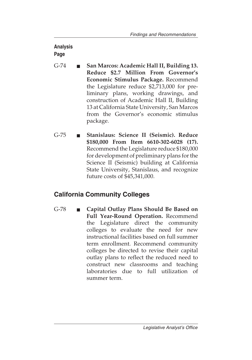- G-74 **San Marcos: Academic Hall II, Building 13. Reduce \$2.7 Million From Governor's Economic Stimulus Package.** Recommend the Legislature reduce \$2,713,000 for preliminary plans, working drawings, and construction of Academic Hall II, Building 13 at California State University, San Marcos from the Governor's economic stimulus package.
- G-75 **Stanislaus: Science II (Seismic). Reduce \$180,000 From Item 6610-302-6028 (17).** Recommend the Legislature reduce \$180,000 for development of preliminary plans for the Science II (Seismic) building at California State University, Stanislaus, and recognize future costs of \$45,341,000.

# **California Community Colleges**

G-78 ■ **Capital Outlay Plans Should Be Based on Full Year-Round Operation.** Recommend the Legislature direct the community colleges to evaluate the need for new instructional facilities based on full summer term enrollment. Recommend community colleges be directed to revise their capital outlay plans to reflect the reduced need to construct new classrooms and teaching laboratories due to full utilization of summer term.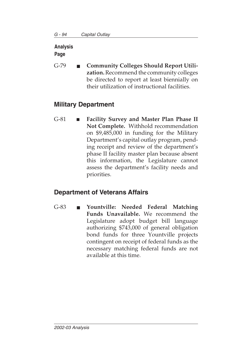G-79 ■ **Community Colleges Should Report Utilization.** Recommend the community colleges be directed to report at least biennially on their utilization of instructional facilities.

## **Military Department**

G-81 **Facility Survey and Master Plan Phase II Not Complete.** Withhold recommendation on \$9,485,000 in funding for the Military Department's capital outlay program, pending receipt and review of the department's phase II facility master plan because absent this information, the Legislature cannot assess the department's facility needs and priorities.

## **Department of Veterans Affairs**

G-83 ■ **Yountville: Needed Federal Matching Funds Unavailable.** We recommend the Legislature adopt budget bill language authorizing \$743,000 of general obligation bond funds for three Yountville projects contingent on receipt of federal funds as the necessary matching federal funds are not available at this time.